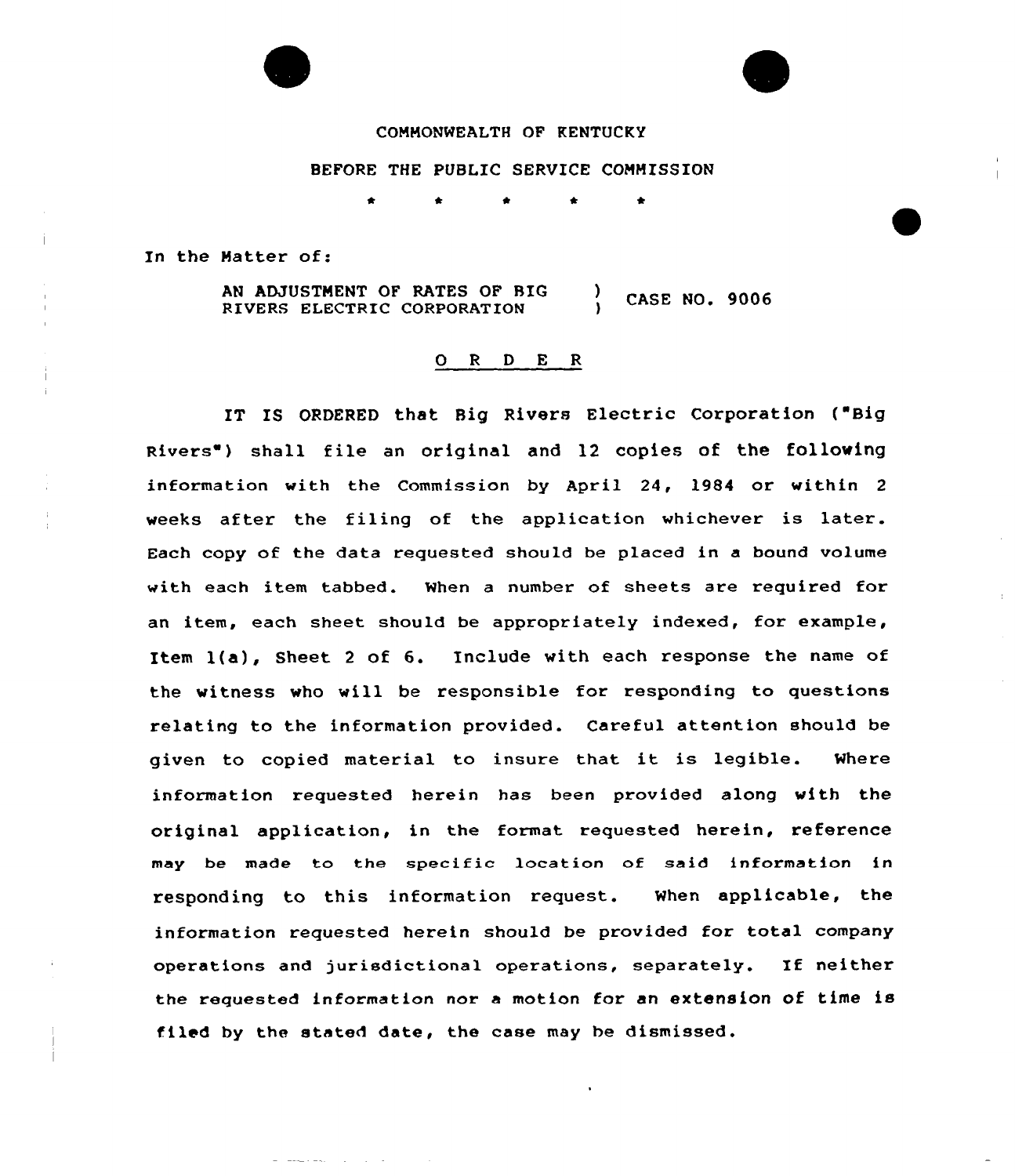

# COHHONMEALTH OF KENTUCKY

### BEFORE THE PUBLIC SERVICE COHHISSION

In the Hatter of:

AN ADJUSTHENT OF RATES OF RIG RIVERS ELECTRIC CORPORATION ) CASE NO. 9006

## ORDER

IT IS ORDERED that Big Rivers Electric Corporation ("Big Rivers") shall file an original and 12 copies of the following information with the Commission by April 24, 1984 or within <sup>2</sup> weeks after the filing of the application whichever is latex. Each copy of the data requested should be placed in a bound volume with each item tabbed. When a number of sheets are required for an item, each sheet should be appropriately indexed, for example, Item l(a), Sheet <sup>2</sup> of 6. Include with each response the name of the witness who will be responsible for responding to questions relating to the information provided. Careful attention should be given to copied material to insure that it is legible. Where information requested herein has been provided along with the original application, in the format requested herein, reference may be made to the specific lccation of said information in responding to this information request. When applicable, the information requested herein should be provided for total company operations and jurisdictional operations, separately. If neither the requested information nor <sup>a</sup> motion for an extension of time is filed by the stated date, the case may he dismissed.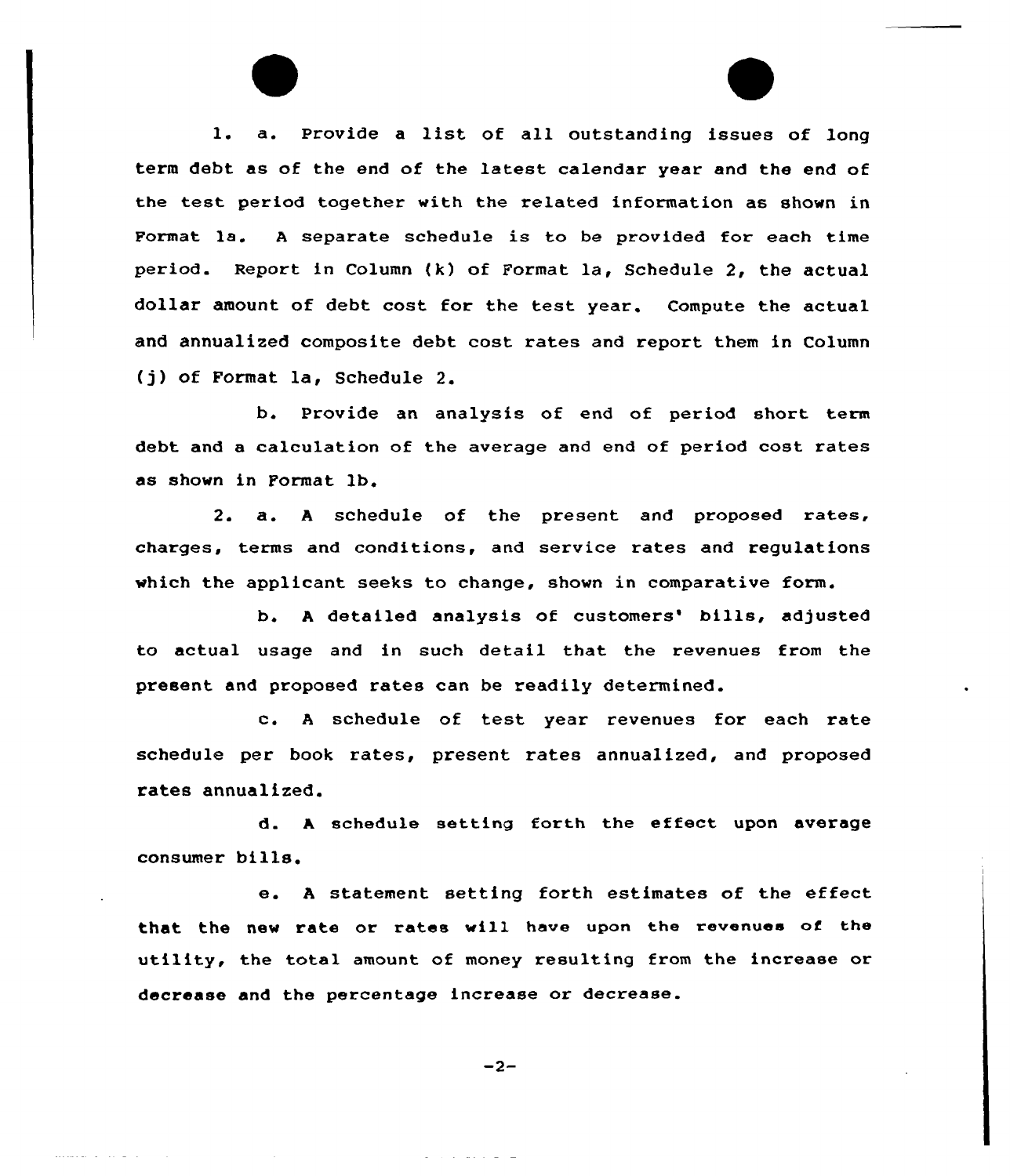l. a. Provide <sup>a</sup> list of all outstanding issues of long term debt as of the end of the latest calendar year and the end of the test period together with the related information as shown in Format la. <sup>A</sup> separate schedule is to be provided for each time period. Report in Column (k) of Format la, Schedule 2, the actual dollar amount of debt cost for the test year. Compute the actual and annualized composite debt cost rates and report them in Column (j) of Format la, Schedule 2.

b. Provide an analysis of end of period short term debt and a calculation of the average and end of period cost rates as shown in Format lb.

2. a. <sup>A</sup> schedule of the present and proposed rates, charges, terms and conditions, and service rates and regulations which the applicant seeks to change, shown in comparative form.

b. A detailed analysis of customers' bills, adjusted to actual usage and in such detail that the revenues from the present and proposed rates can be readily determined.

c. <sup>A</sup> schedule of test year revenues for each rate schedule per book rates, present rates annualized, and proposed rates annualized.

d. <sup>A</sup> schedule setting forth the effect upon average consumer bills.

e. <sup>A</sup> statement setting forth estimates of the effect that the new rate or rates will have upon the revenues of the utility, the total amount of money resulting from the increase or decrease and the percentage increase or decrease.

 $-2-$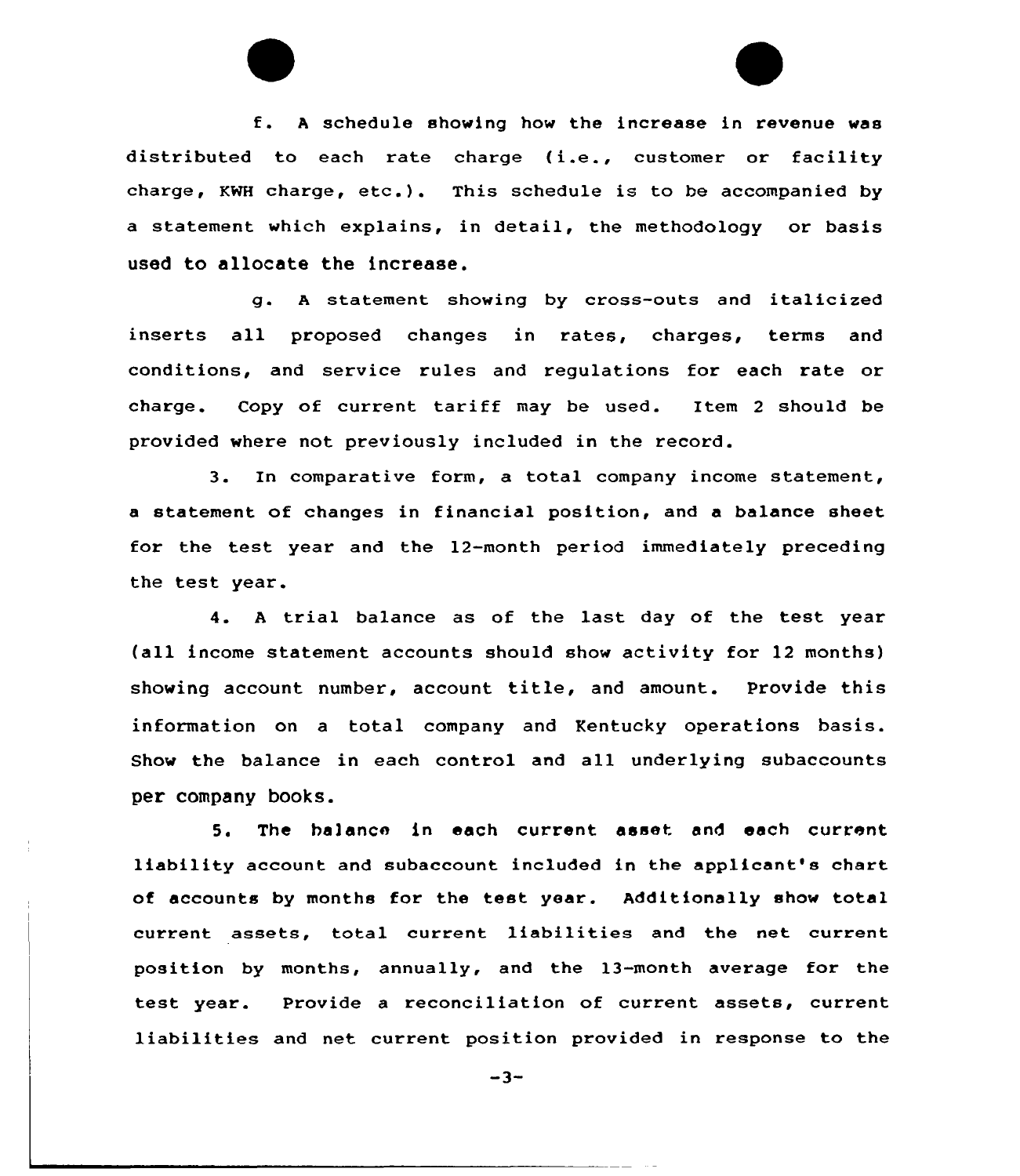f. <sup>A</sup> schedule showing how the increase in revenue was distributed to each rate charge (i.e., customer or facility charge, KWH charge, etc.). This schedule is to be accompanied by a statement which explains, in detail, the methodology or basis used to allocate the increase.

g. <sup>A</sup> statement showing by cross-outs and italicized inserts all proposed changes in rates, charges, terms and conditions, and service rules and regulations for each rate or charge. Copy of current tariff may be used. Item <sup>2</sup> should be provided where not previously included in the record.

3. In comparative form, a total company income statement, a statement of changes in financial position, and a balance sheet for the test year and the 12-month period immediately preceding the test year.

4. <sup>A</sup> trial balance as of the last day of the test year (all income statement accounts should show activity for 12 months) showing account number, account title, and amount. Provide this information on a total company and Kentucky operations basis. Show the balance in each control and all underlying subaccounts per company books.

5. The ha]ance in each current asset and each current liability account and subaccount included in the applicant's chart of accounts by months for the test year. Additionally show total current assets, total current liabilities and the net current position by months, annually, and the 13-month average for the test year. Provide a reconciliation of current assets, current liabilities and net current position provided in response to the

 $-3-$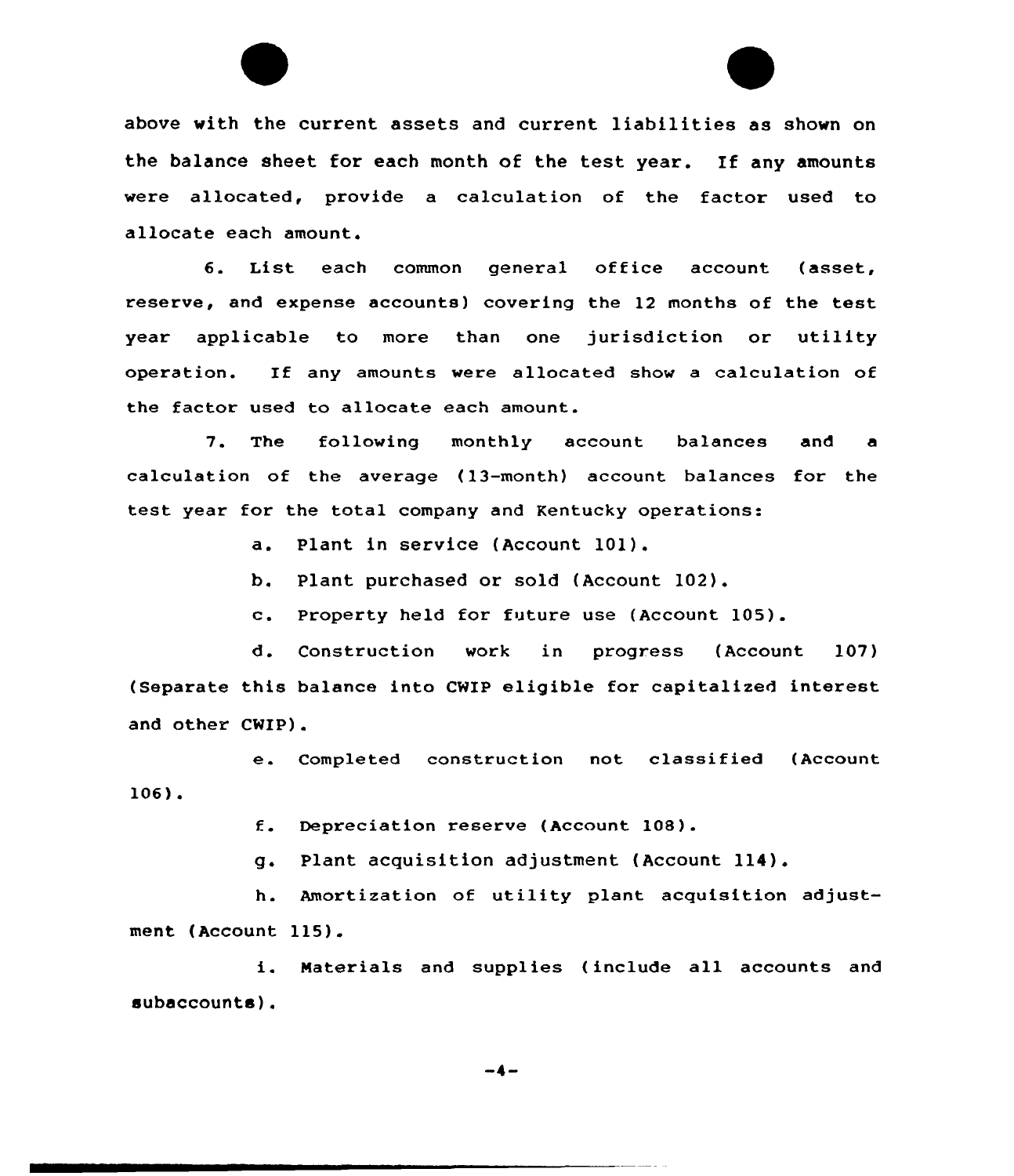above with the current assets and current liabilities as shown on the balance sheet for each month of the test year. If any amounts were allocated, provide a calculation of the factor used to allocate each amount.

6. List each common general office account (asset, reserve, and expense accounts) covering the 12 months of the test year applicable to more than one jurisdiction or utility operation. If any amounts were allocated show <sup>a</sup> calculation of the factor used to allocate each amount.

7. The following monthly account balances and calculation of the average (13-month) account balances for the test year for the total company and Kentucky operations:

a. Plant in service (Account 101).

b. Plant purchased or sold (Account 102).

c. Property held for future use (Account 105).

d. Construction work in progress (Account 107) (Separate this balance into CWIP eligible for capitalized intexest and other CWIP).

e. Completed construction not classified (Account 106).

f. Depreciation reserve (Account 108).

g. Plant acquisition adjustment (Account 114).

h. Amortization of utility plant acquisition adjustment (Account 115).

i. Materials and supplies (include all accounts and subaccounta).

-4-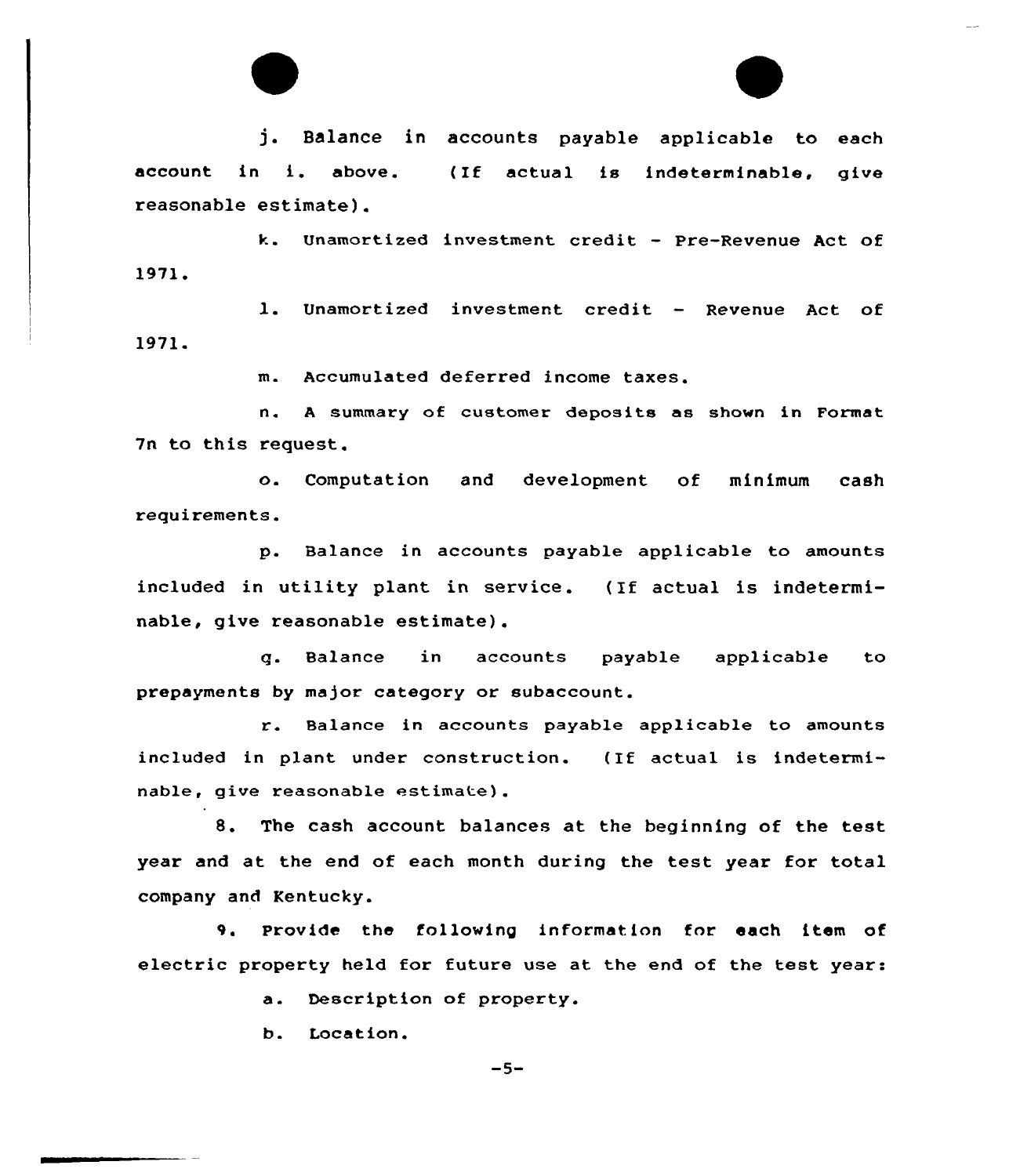

j. Balance in accounts payable applicable to each account in i. above. reasonable estimate). ( If actual is indeterminable, give

k. Unamortized investment credit — Pre-Revenue Act of 1971.

l. Unamortized investment credit — Revenue Act of 1971.

m. Accumulated deferred income taxes.

n. <sup>A</sup> summary of customex deposits as shown in Format 7n to this request.

o. Computation and development of minimum cash requirements.

p. Balance in accounts payable applicable to amounts included in utility plant in service. (If actual is indeterminable, give reasonable estimate).

q. Balance in accounts payable applicable to prepayments by major category or subaccount.

r. Balance in accounts payable applicable to amounts included in plant under construction. (If actual is indeterminable, give reasonable estimate).

8. The cash account balances at the beginning of the test year and at the end of each month during the test year for total company and Kentucky.

9. Provide the following information for each item of electric property held for future use at the end of the test year:

a. Description of property.

b. Location.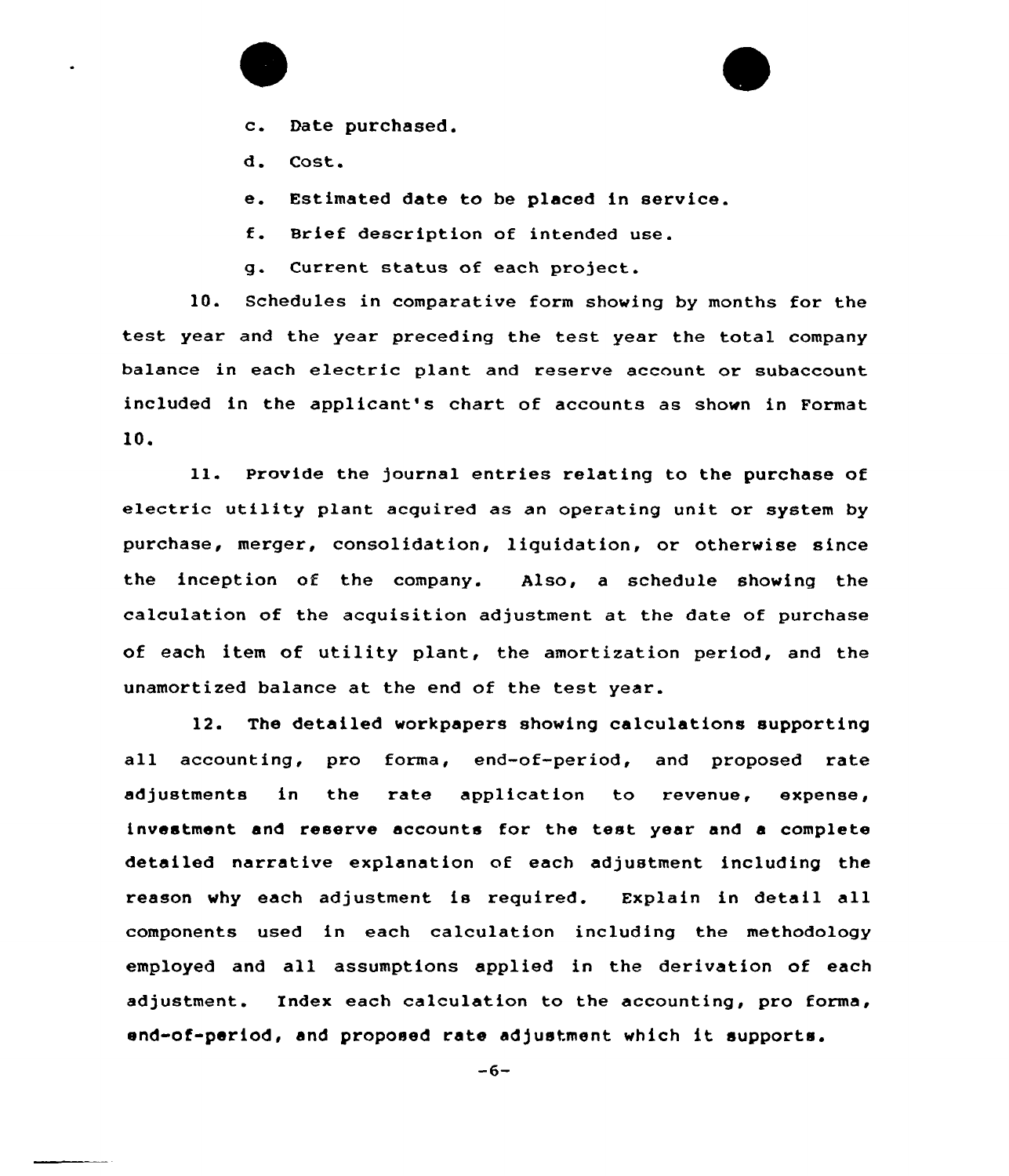



d. Cost.

e. Estimated date to be placed in service.

f. Brief description of intended use.

g. Current status of each project.

10. Schedules in comparative form showing by months for the test year and the year preceding the test year the total company balance in each electric plant and reserve account or subaccount included in the applicant's chart of accounts as shown in Format 10.

ll. Provide the journal entries relating to the purchase of electric utility plant acquired as an operating unit or system by purchase, merger, consolidation, liquidation, or otherwise since the inception of the company. Also, a schedule showing the calculation of the acquisition adjustment at the date of purchase of each item of utility plant, the amortization period, and the unamortized balance at the end of the test year.

12. The detailed workpapers showing calculations supporting all accounting, pro forma, end-of-period, and proposed rate adjustments in the rate application to revenue, expense, investment and reserve accounts for the test year and a complete detailed narrative explanation of each adjustment including the reason why each adjustment is required. Explain in detail all components used in each calculation including the methodology employed and all assumptions applied in the derivation of each adjustment. Index each calculation to the accounting, pro forma, end-of-period, and proposed rate adjustment which it supports.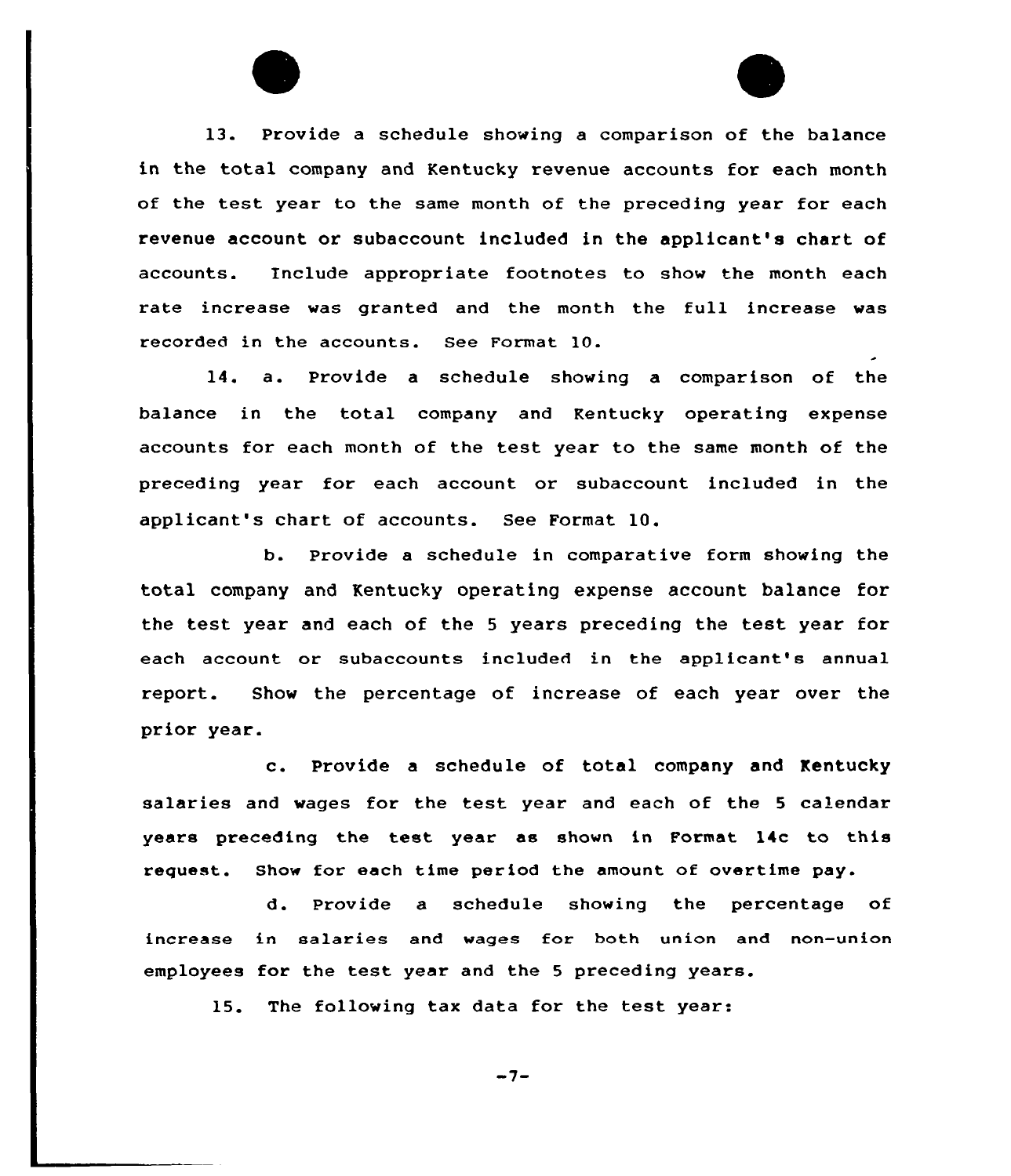13. Provide a schedule showing a comparison of the balance in the total company and Kentucky revenue accounts for each month of the test year to the same month of the preceding year for each revenue account or subaccount included in the applicant's chart of accounts. include appropriate footnotes to show the month each rate increase was granted and the month the full increase was recorded in the accounts. See Format 10.

14. a. Provide <sup>a</sup> schedule showing a comparison of the balance in the total company and Kentucky operating expense accounts for each month of the test year to the same month of the preceding year for each account or subaccount included in the applicant's chart of accounts. See Format 10.

b. Provide a schedule in comparative form showing the total company and Kentucky operating expense account balance for the test year and each of the <sup>5</sup> years preceding the test year for each account or subaccounts included in the applicant's annual report. Show the percentage of increase of each year over the prior year.

c. Provide <sup>a</sup> schedule of total company and Kentucky salaries and wages for the test year and each of the <sup>5</sup> calendar years preceding the test year as shown in Format 14c to this reguest. Show for each time period the amount of overtime pay.

d. Provide a schedule showing the percentage of increase in salaries and wages for hoth union and non-union employees for the test year and the <sup>5</sup> preceding years.

15. The following tax data for the test year:

 $-7-$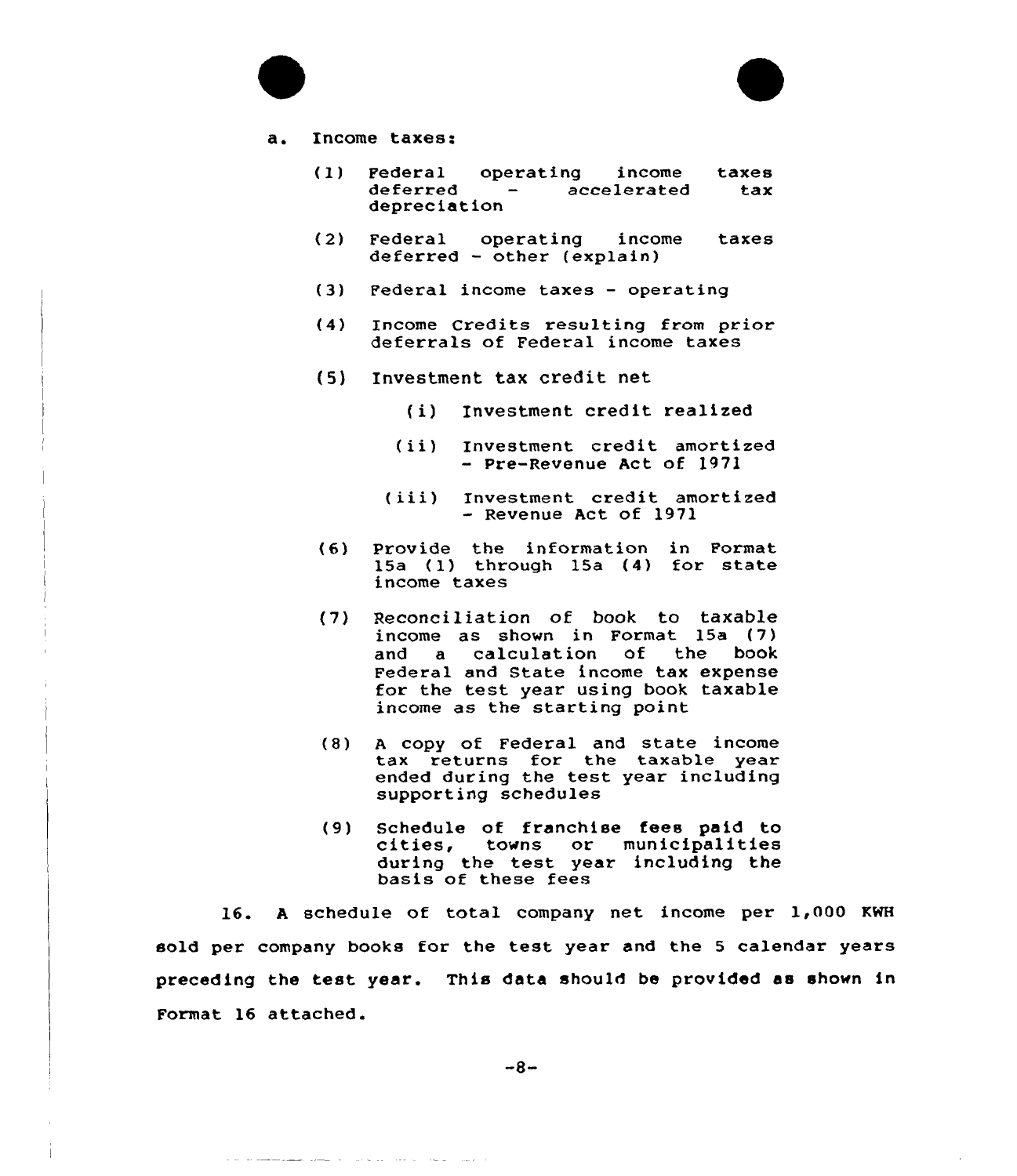

### a. Income taxes:

- (1) Federal operating income taxes deferred – accelerated<br>depreciation
- (2) Federal operating income taxes  $deferred - other (explain)$
- (3) Federal income taxes operating
- (4) Income Credits resulting from prior deferrals of Federal income taxes
- (5) Investment tax credit net
	- (i) Investment credit realized
	- (ii) Investment credit amortized - Pre-Revenue Act of 1971
	- (iii) Investment credit amortized - Revenue Act of 1971
- (6) Provide the information in Format Provide the Information in Format<br>15a (1) through 15a (4) for state income taxes
- (7) Reconciliation of book to taxable income as shown in Format 15a (7)<br>and a calculation of the book a calculation of the Federal and State income tax expense for the test year using book taxable income as the starting point
- (8) <sup>A</sup> copy of Federal and state income tax returns for the taxable year ended during the test year including supporting schedules
- (9) Schedule of franchise fees paid to cities, towns or municipalities during the test year including the basis of these fees

16. <sup>A</sup> schedule of total company net income per 1,000 KWH sold per company books for the test year and the <sup>5</sup> calendar years preceding the test year. This data should be provided as shown in Format 16 attached.

والمنفس والمنافس والمناول والمنافس والمستحدث المستحصلة متناقلة للمالية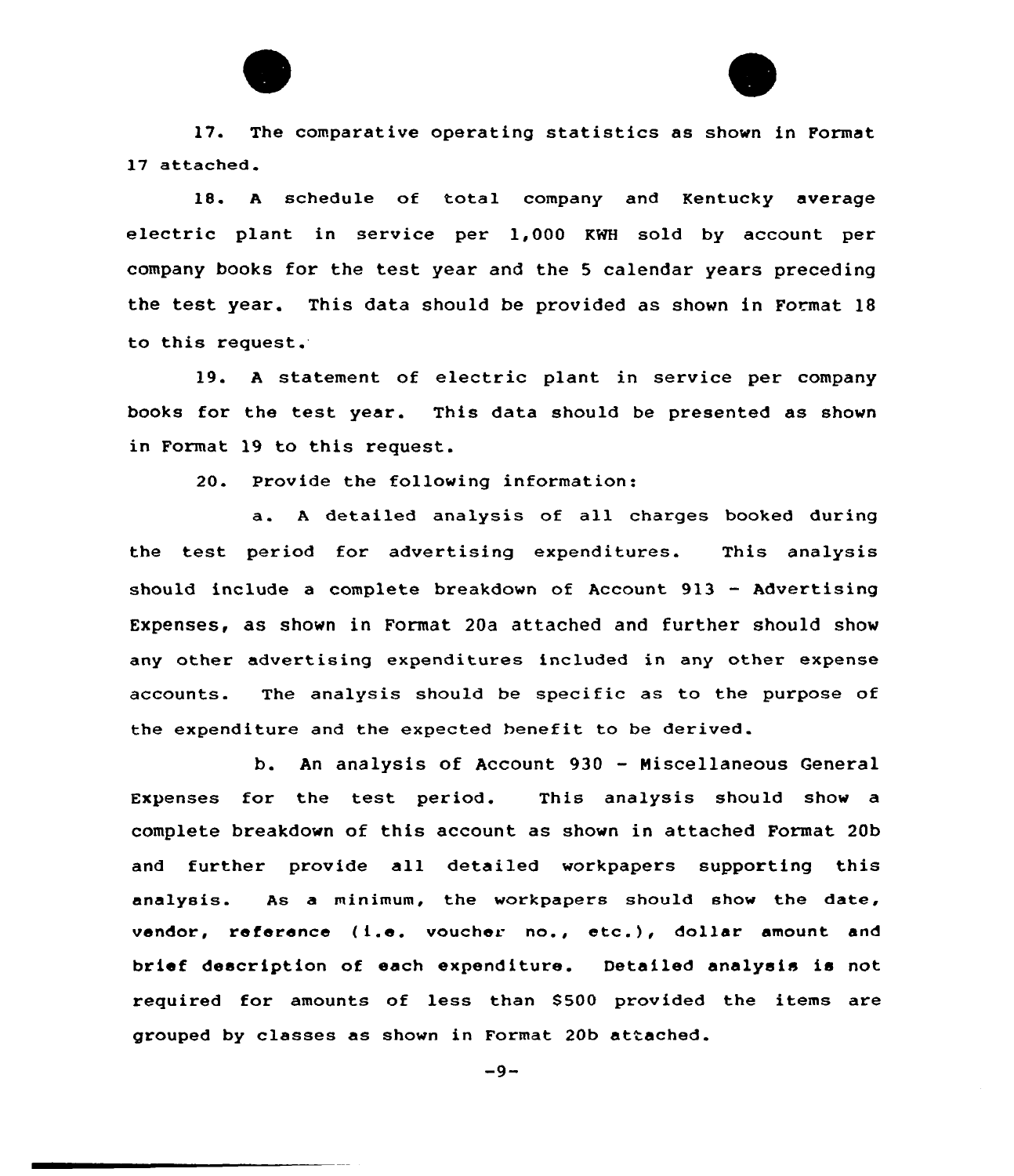

17. The comparative operating statistics as shown in Format 17 attached.

18. <sup>A</sup> schedule of total company and Kentucky average electric plant in service per 1,000 KWH sold by account per company books for the test year and the <sup>5</sup> calendar years preceding the test year. This data should be provided as shown in Format 18 to this request.

19. <sup>A</sup> statement of electric plant in service per company books for the test year. This data should be presented as shown in Format 19 to this request.

20. Provide the following information:

a. <sup>A</sup> detailed analysis of all charges booked during the test period for advertising expenditures. This analysis should include a complete breakdown of Account 913 — Advertising Expenses, as shown in Format 20a attached and further should show any other advertising expenditures included in any other expense accounts. The analysis should be specific as to the purpose of the expenditure and the expected benefit to be derived.

b. An analysis of Account 930 — Miscellaneous General Expenses for the test period. This analysis should show a complete breakdown of this account as shown in attached Format 20b and further provide all detailed workpapers supporting this analysis. As a minimum, the workpapers should show the date, vendor, reference (i.e. voucher no., etc.), dollar amount and brief description of each expenditure. Detailed analysis is not required for amounts of less than 8500 provided the items are grouped by classes as shown in Format 20b attached.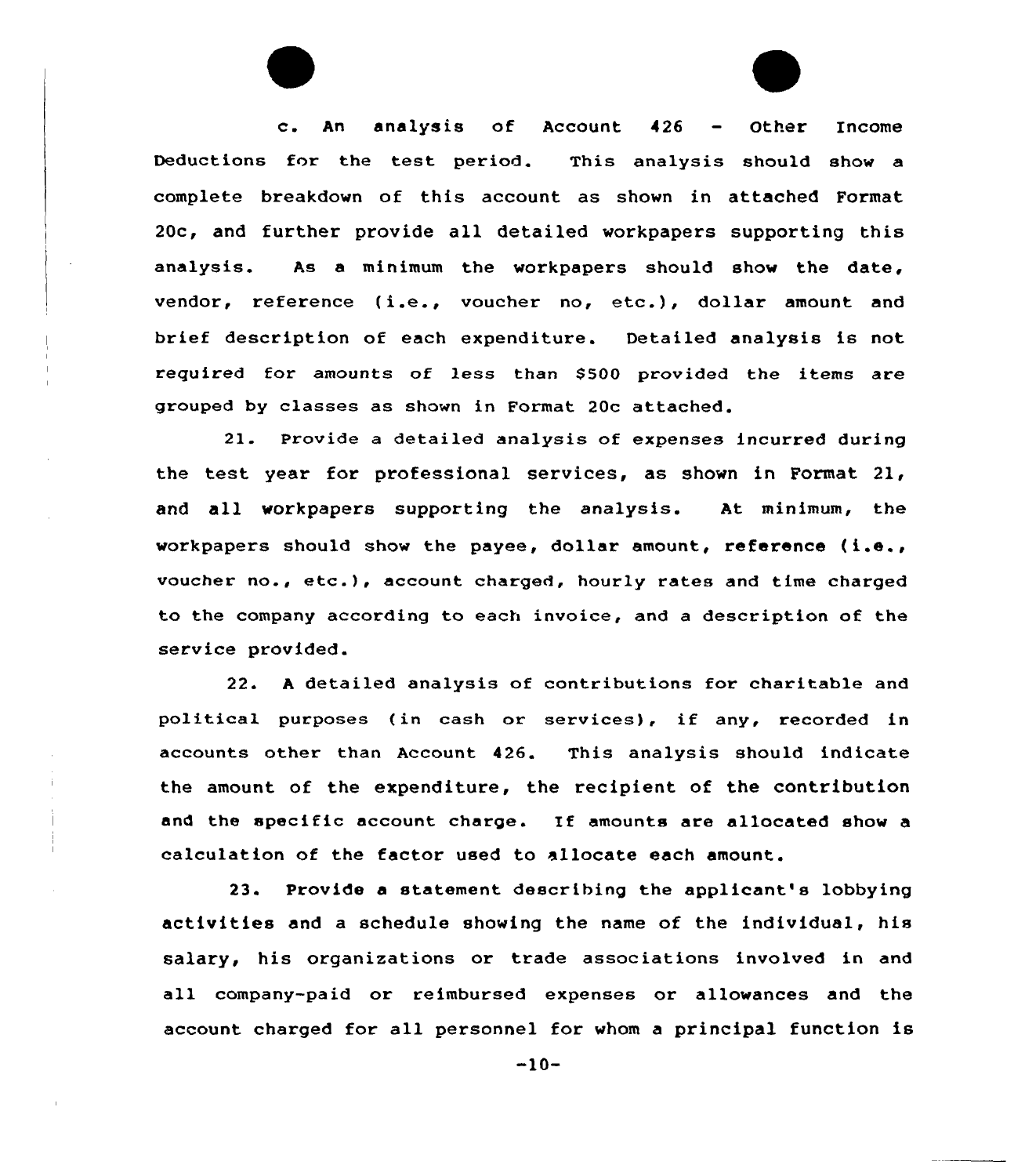c. An analysis of Account <sup>426</sup> — Other Income Deductions for the test period. This analysis should show a complete breakdown of this account as shown in attached Format 20c, and further provide all detailed workpapers supporting this analysis. As a minimum the workpapers should show the date, vendor, reference {i.e., voucher no, etc.), dollar amount and brief description of each expenditure. Detailed analysis is not required for amounts of less than \$500 provided the items are gxouped by classes as shown in Format 20c attached.

21. Provide a detailed analysis of expenses incurred during the test yeax fox professional sexvices, as shown in Format 21, and all workpapers suppoxting the analysis. At minimum, the workpapers should show the payee, dollar amount, reference (i.e., voucher no., ete.), account charged, hourly rates and time charged to the company according to each invoice, and a description of the service provided.

22. <sup>A</sup> detailed analysis of contributions for charitable and political purposes (in cash or services), if any, recorded in accounts other than Account 426. This analysis should indicate the amount of the expenditure, the recipient of the contribution and the specific account charge. If amounts are allocated show <sup>a</sup> calculation of the factor used to allocate each amount.

23. Provide a statement describing the applicant's lobbying activities and a schedule showing the name of the individual, his salary, his organizations or trade associations involved in and all company-paid or reimbursed expenses or allowances and the account charged for all personnel for whom a principal function is

 $-10-$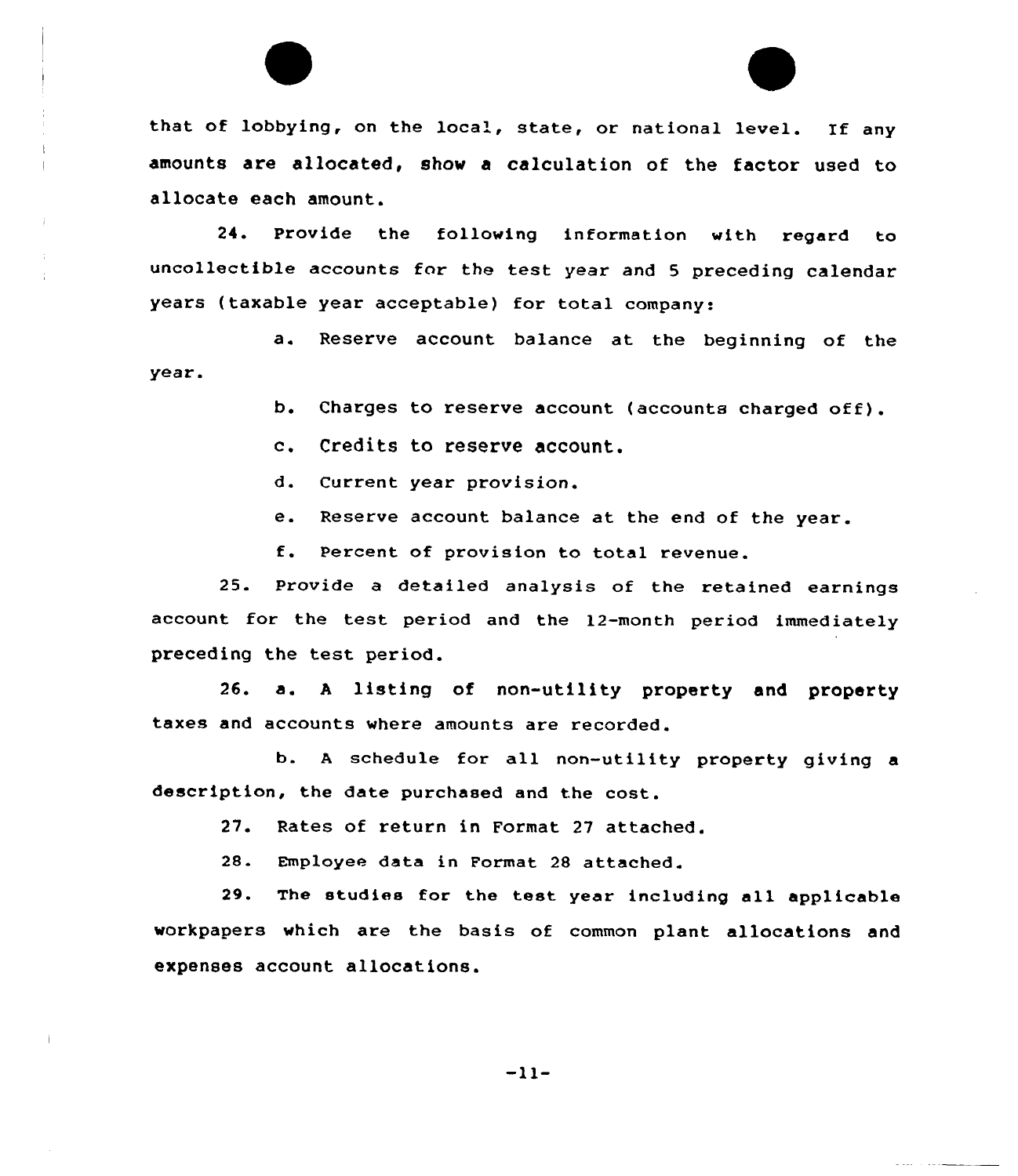



24. provide the following information with regard to uncollectible accounts for the test year and 5 preceding calendar years (taxable year acceptable) for total company:

a. Reserve account balance at the beginning of the year.

b. Charges to reserve account (accounts charged off).

c. Credits to reserve account.

d. Current year provision.

e. Reserve account balance at the end of the year.

f. Percent of provision to total revenue.

25. Provide a detailed analysis of the retained earnings account for the test period and the 12-month period immediately preceding the test period.

26. a. <sup>A</sup> listing of non-utility property and property taxes and accounts where amounts are recorded.

b. <sup>A</sup> schedule for all non-utility property giving a description, the date purchased and the cost.

27. Rates of return in Format 27 attached.

28. Employee data in Format 28 attached.

29. The studies for the test year including all applicable workpapers which are the basis of common plant allocations and expenses account allocations.

 $-11-$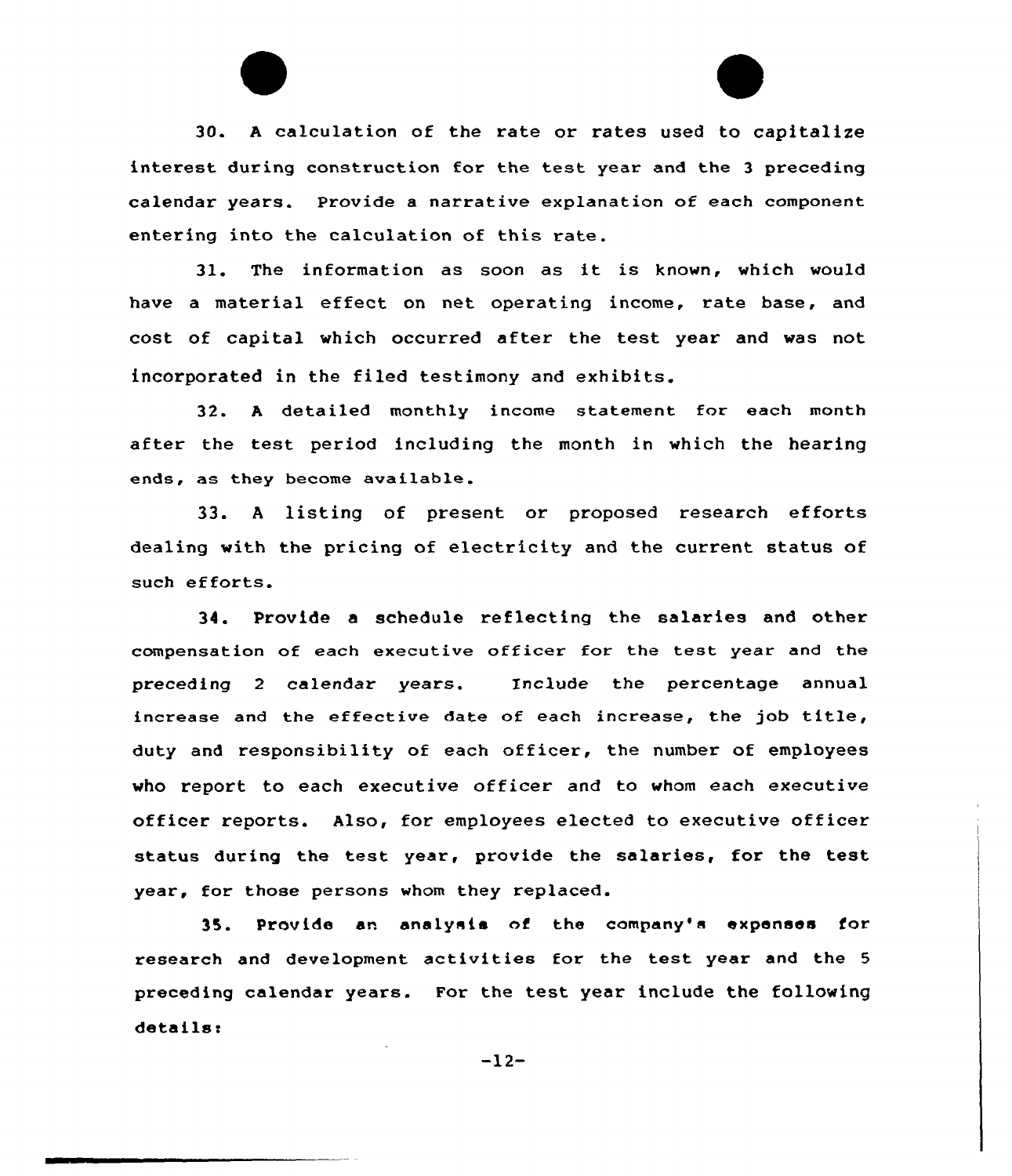30. <sup>A</sup> calculation of the rate or rates used to capitalize interest during construction for the test year and the <sup>3</sup> preceding calendar years. Provide a narrative explanation of each component entering into the calculation of this rate.

31. The information as soon as it is known, which would have a material effect on net operating income, rate base, and cost of capital which occurred after the test year and was not incorporated in the filed testimony and exhibits.

32. <sup>A</sup> detailed monthly income statement for each month after the test period including the month in which the hearing ends, as they become available.

33. <sup>A</sup> listing of present or proposed research efforts dealing with the pricing of electricity and the current status of such efforts.

34. Provide a schedule reflecting the salaries and other compensation of each executive officer for the test year and the preceding 2 calendar years, Include the percentage annual increase and the effective date of each increase, the job title, duty and responsibility of each officer, the number of employees who report to each executive officer and to whom each executive officer reports. Also, for employees elected to executive officer status during the test year, provide the salaries, for the test year, for those persons whom they replaced.

35. Provide an analysis of the company's expanses for research and development activities for the test year and the <sup>5</sup> preceding calendar years. For the test year include the following details:

 $-12-$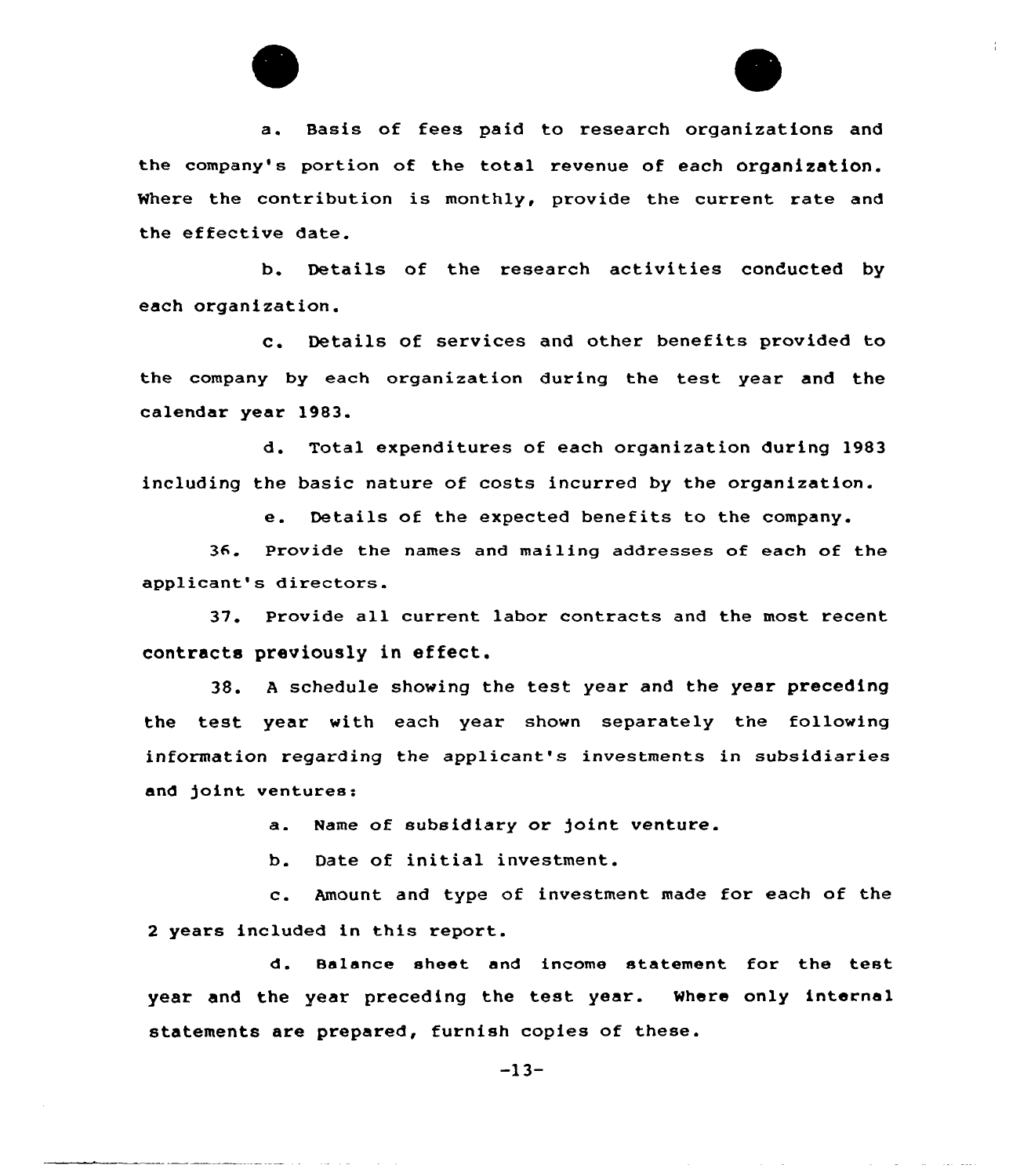



 $\sim$ 

**Service** 

والمحارب المحارب

 $\frac{1}{4}$  .

a. Basis of fees paid to research organizations and the company's portion of the total revenue of each organization. Where the contribution is monthly, provide the current rate and the effective date.

b. Details of the research activities conducted by each organization.

c. Details of services and other benefits provided to the company by each organization during the test year and the calendar year 1983.

d. Total expenditures of each organization during 1983 including the basic nature of costs incurred by the organization.

e. Details of the expected benefits to the company.

36. Provide the names and mailing addresses of each of the applicant's directors.

37. Provide all current labor contracts and the most recent contracts previously in effect.

38. <sup>A</sup> schedule showing the test year and the year preceding the test year with each year shown separately the following information regarding the applicant's investments in subsidiaries and joint ventures:

a. Name of subsidiary or joint venture.

b. Date of initial investment.

c. Amount and type of investment made for each of the <sup>2</sup> years included in this report.

d. Balance sheet and income statement for the test year and the year preceding the test year. Where only internal statements are prepared, furnish copies of these.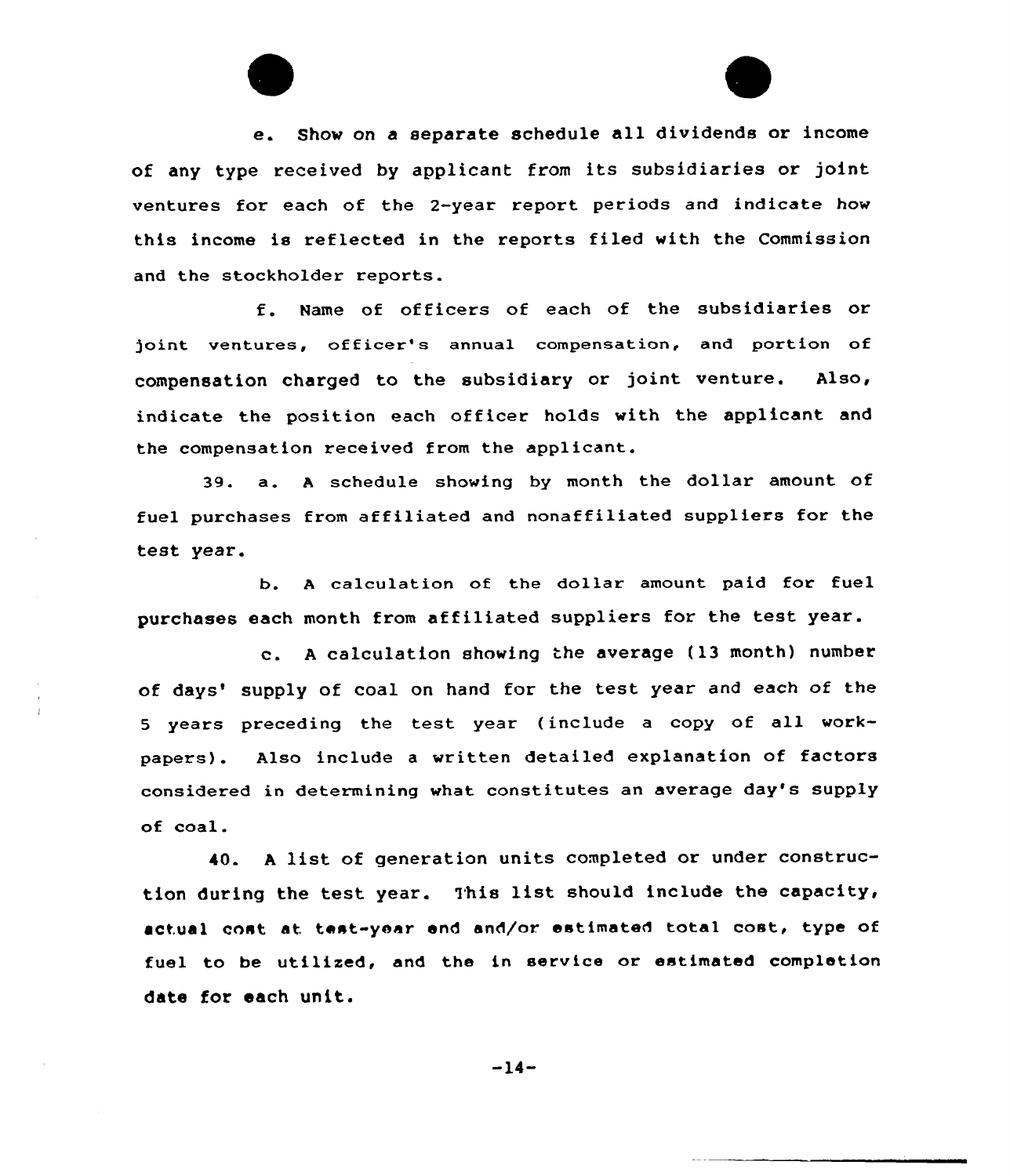e. Show on <sup>a</sup> separate schedule all dividends or income of any type received by applicant from its subsidiaries or joint ventures for each of the 2-year report periods and indicate how this income is reflected in the reports filed with the Commission and the stockholder reports.

f. Name of officers of each of the subsidiaries or joint ventures, officer's annual compensation, and portion of compensation charged to the subsidiary or joint venture. Also, indicate the position each officer holds with the applicant and the compensation received from the applicant.

39. a. <sup>A</sup> schedule showing by month the dollar amount of fuel purchases from affiliated and nonaffiliated suppliers for the test year.

b. <sup>A</sup> calculation of the dollar amount paid for fuel purchases each month from affiliated suppliers for the test year.

c. <sup>A</sup> calculation showing the average (13 month) number of days' supply of coal on hand for the test year and each of the <sup>5</sup> years preceding the test year (include <sup>a</sup> copy of all workpapers). Also include <sup>a</sup> written detailed explanation of factors considered in determining what constitutes an average day's supply of coal.

40. <sup>A</sup> list of generation units completed or under construction during the test year. This list should include the capacity, actual cost at test-year end and/or estimated total cost, type of fuel to be utilized, and the in service or estimated completion date for each unit.

 $-14-$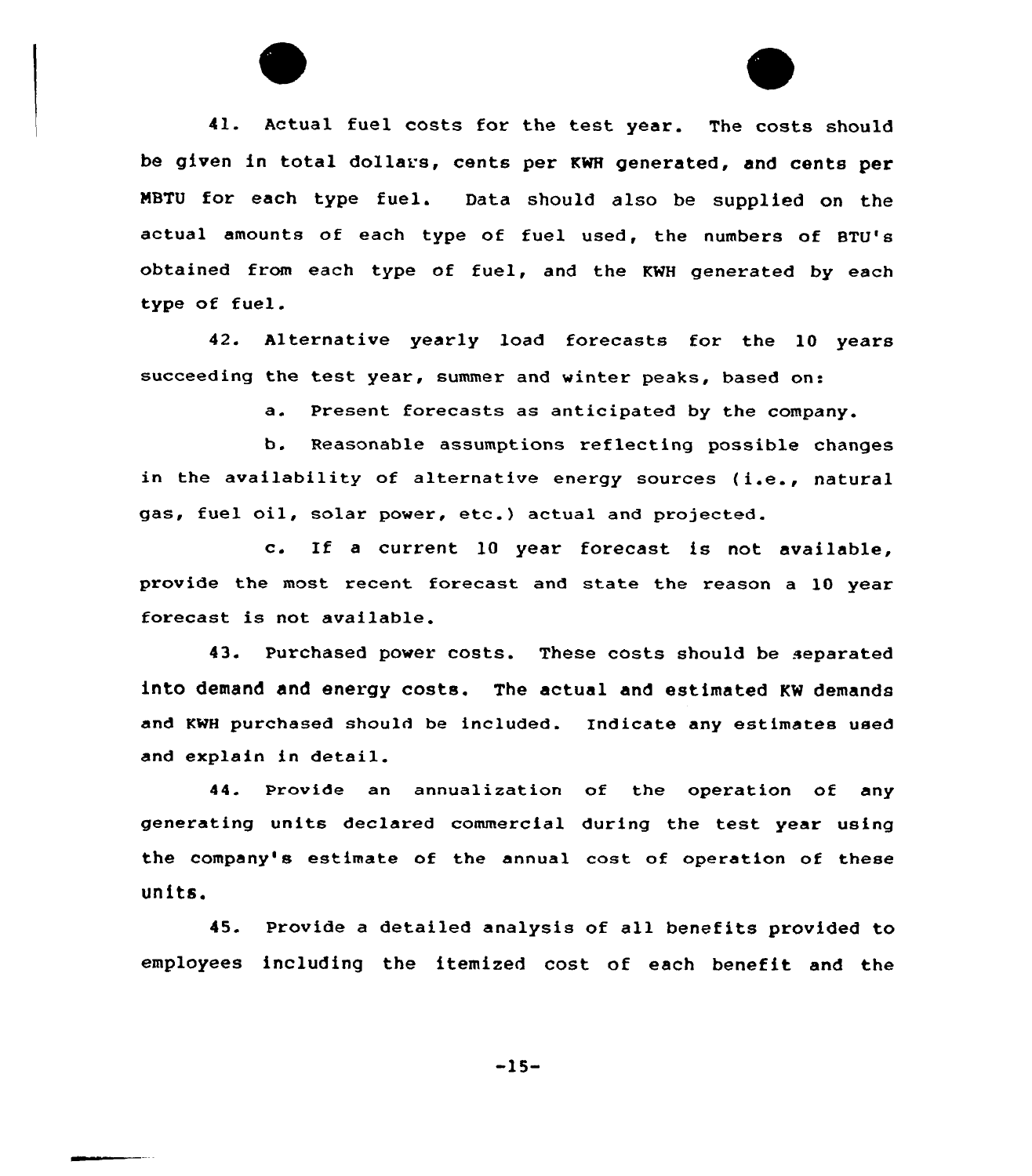41. Actual fuel costs for the test year. The costs should be given in total dollars, cents per KNH generated, and cents per MBTU for each type fuel. Data should also be supplied on the actual amounts of each type of fuel used, the numbers of BTU's obtained from each type of fuel, and the KWH generated by each type of fuel.

42. Alternative yearly load forecasts for the 10 years succeeding the test year, summer and winter peaks, based on:

a. Present forecasts as anticipated by the company.

b. Reasonable assumptions reflecting possible changes in the availability of alternative energy sources (i.e., natural gas, tuel oil, solar power, etc.) actual and projected.

c. If <sup>a</sup> current <sup>10</sup> year forecast is not available, provide the most recent forecast and state the reason a 10 year forecast is not available.

43. Purchased power costs. These costs should be separated into demand and energy costs. The actual and estimated KW demands and KWH purchased should be included. Indicate any estimates used and explain in detail.

44. Provide an annualization of the operation of any generating units declared commercial during the test year using the company's estimate of the annual cost of operation of these units.

45. Provide a detailed analysis of all benefits provided to employees including the itemized cost of each benefit and the

-15-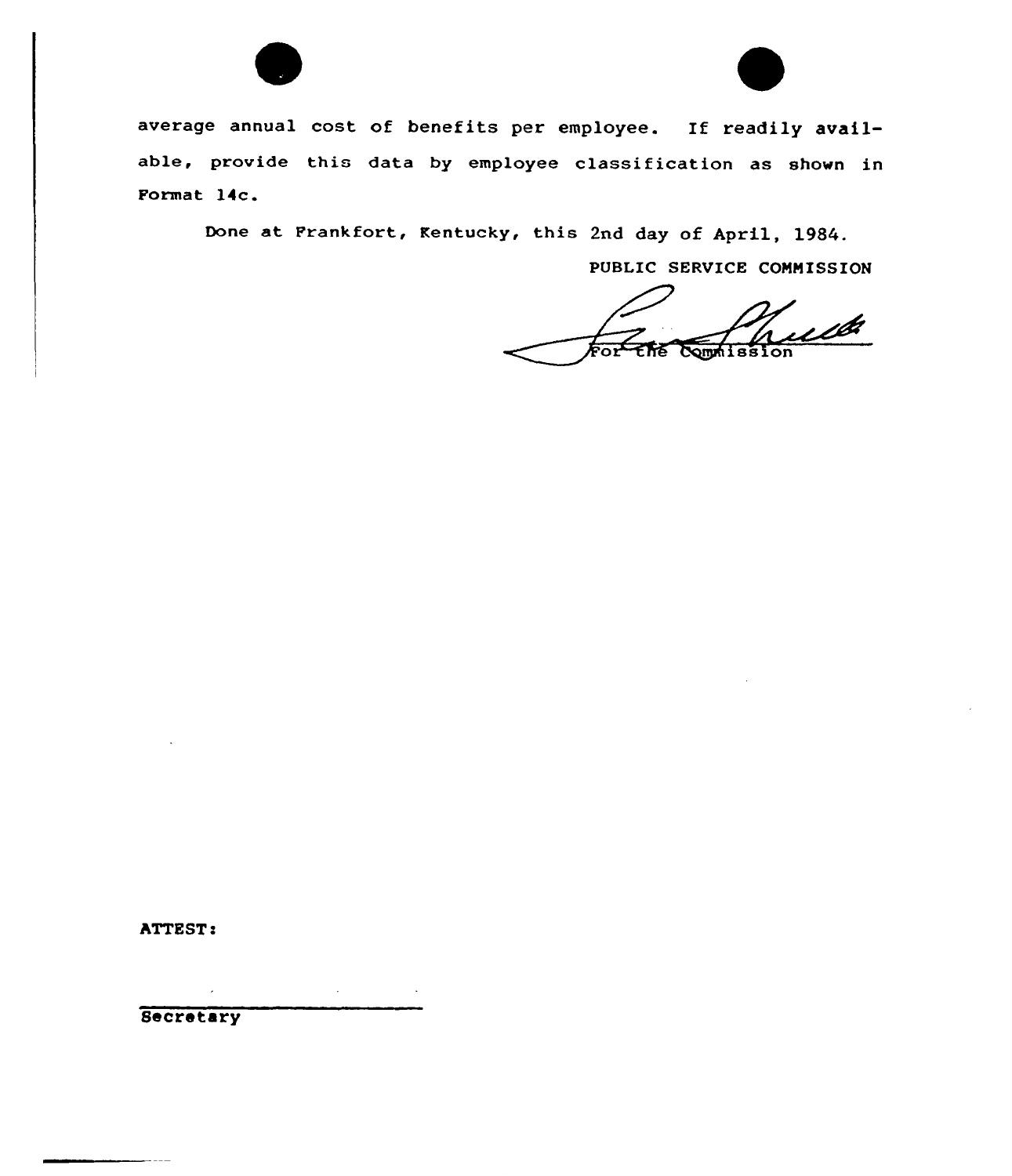



average annual cost of benefits per employee. If readily available, provide this data by employee classification as shown in Format 14c.

Done at Frankfort, Kentucky, this 2nd day of April, 1984.

PUBLIC SERVICE COMMISSION

<u>ub</u> יה<br>דמ Commission

ATTEST:

Secretary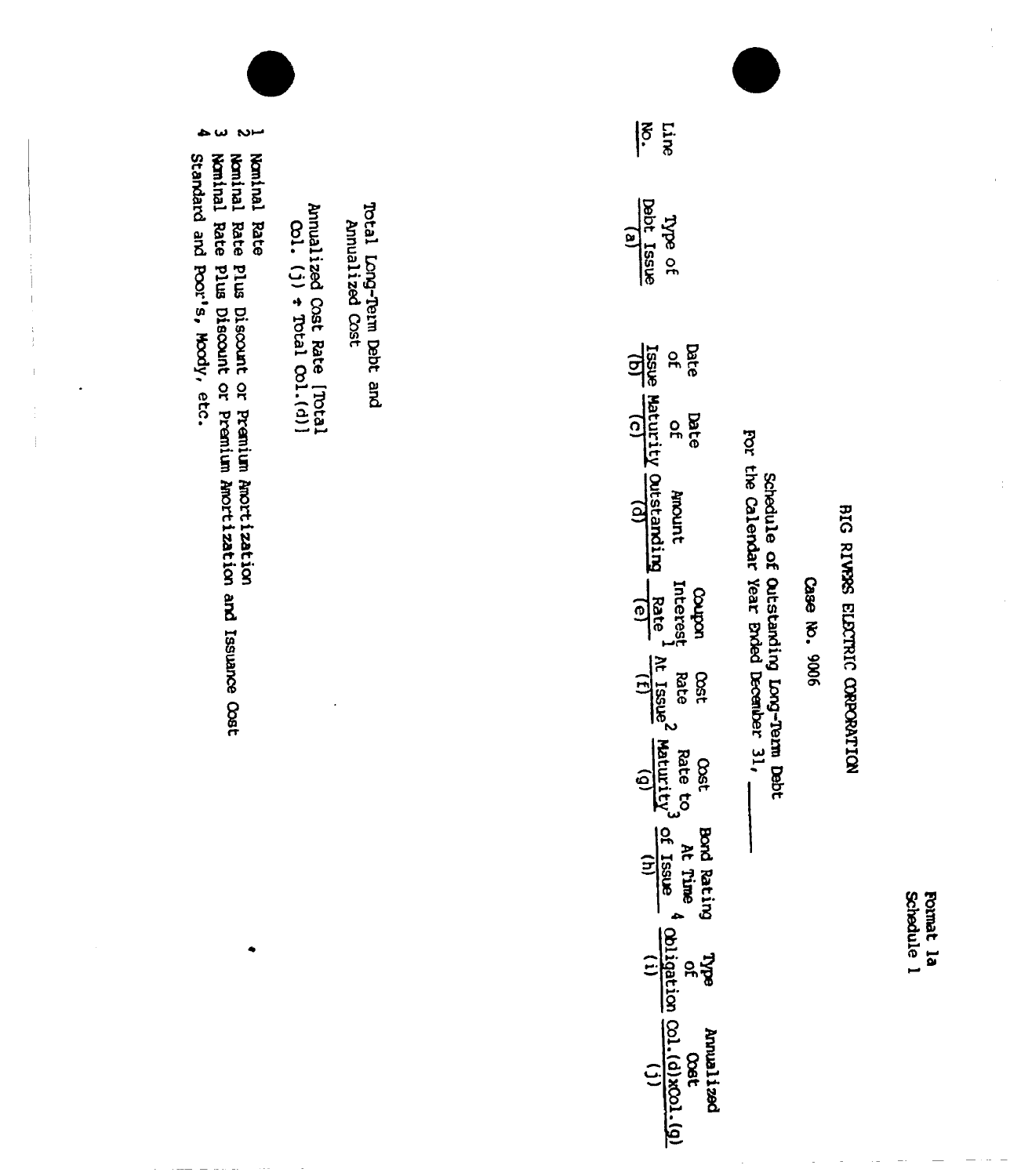Schedule 1 Format la

BIG RIVES ELECTRIC CORPORATION

Case No. 9006

Schedule of Outstanding Long-Term Debt<br>For the Calendar Year Ended December 31,

| Line<br> ह<br>'                                                                                                |
|----------------------------------------------------------------------------------------------------------------|
| Type of<br>Debt Issue<br>Obbt Issue                                                                            |
| bate<br>of<br>Issue                                                                                            |
| <b>Date</b><br>derurit<br>dotait                                                                               |
| Anount<br>Jutstandin                                                                                           |
| Coupon<br>Interest<br>  Rate<br>$\mathsf{I}^{\mathsf{e}}$                                                      |
| Rate<br>Nati<br><b>DSC</b>                                                                                     |
| Rate to<br>daturity<br>1500                                                                                    |
| Bord Rating<br>At Time,<br>$rac{1}{\sin \theta}$                                                               |
| ing Type<br>$\frac{1}{2}$<br>$\frac{1}{2}$<br>$\frac{1}{2}$<br>$\frac{1}{2}$<br>$\frac{1}{2}$<br>$\frac{1}{2}$ |
| $\frac{1}{\sqrt{1+\frac{1}{2}}}\left(\frac{1}{2}\right)$<br>best LeurnA<br>Cost                                |

Total Long-Term Debt and<br>Annualized Cost

Annualized Cost Rate [TOtal]<br>  $\cos 1$ , (j)  $\div$  Total Col.(d)]

Noninal<br>Rate

 $\sim$ Nominal Rate Plus Discount or Premium Amortization<br>Nominal Rate Plus Discount or Premium Amortization and Issuance Cost

س ج Standard and Poor's, Moody, etc.

 $\frac{1}{2}$ 

 $\frac{1}{2}$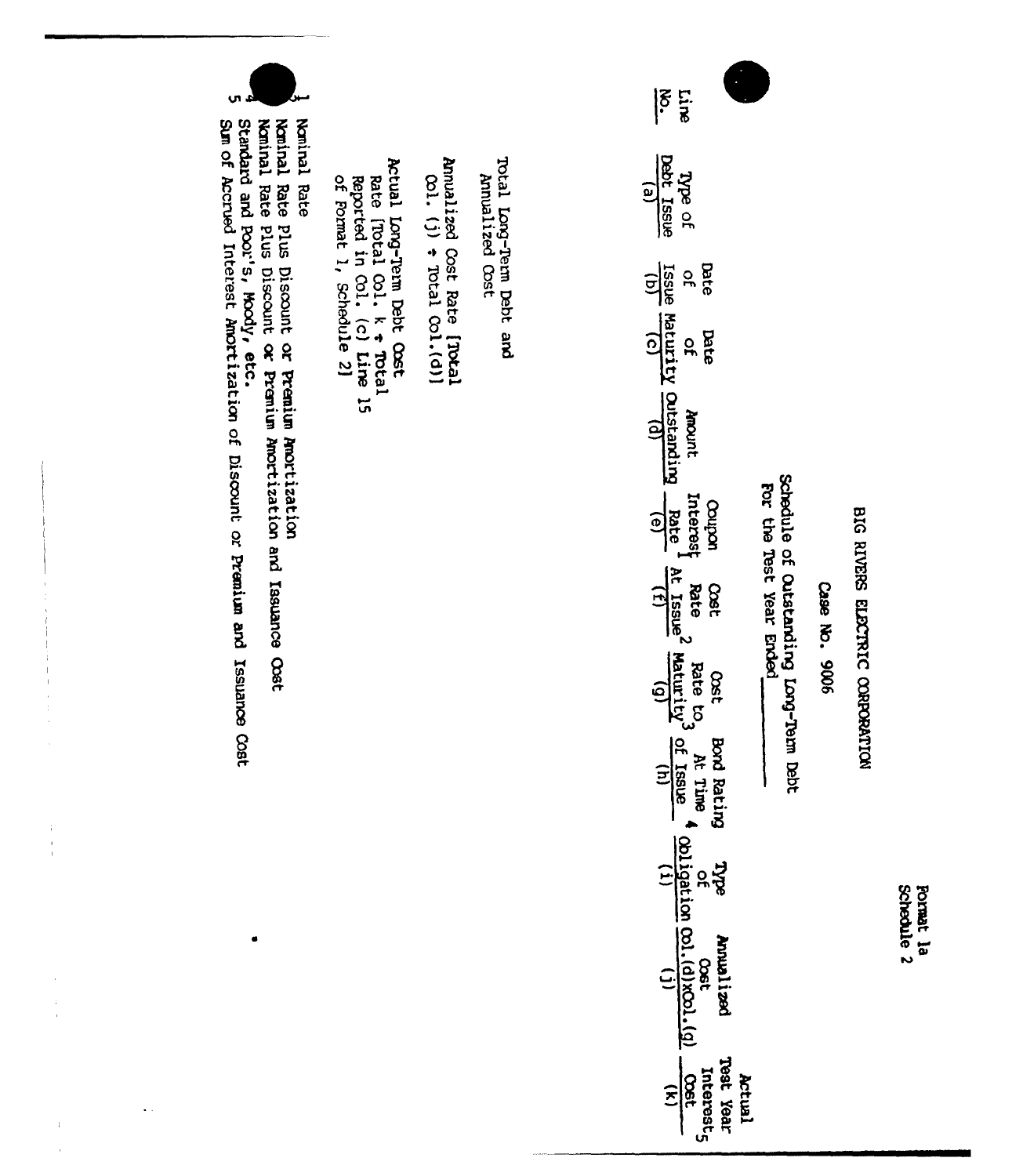Schedule 2 Pormat la

BIG RIVERS ELECTRIC CORPORATION

Case No. 9006

schedule of Outstanding Long-Term Debt For the Test Year Ended

Actual

|ິຮ<br>! Line Debt Issue Type of  $\overline{e}$ Date dissi  $\frac{1}{2}$ Maturity Ortstanding pate  $\mathbf{a}$ Ancont Interes uodroo Rate  $\widehat{e}$ **Rate** Rate to<sub>3</sub><br>At Issue<sup>2</sup> Maturity<sup>3</sup><br>(f)<br>(g) Oset **Cost** of Issue **Bord Bating** At Time 4 opligation col. (d) xcol. (g)<br>  $\frac{f}{(h)}$ <br>  $\frac{f}{(h)}$ **Bee Anualized** Teet Year Interest<sub>5</sub> **COSt**  $\widehat{\mathbf{z}}$ 

Total Long-Term Debt and<br>Annualized Cost

Annualized Cost Rate [TOtal  $\cot$ . (j)  $\div$  Total  $\cot$ . (d)]

Actual Long-Term Debt Cost Rate [Total Col.  $k \in \text{Total}$ <br>Reported in Col. (c) Line 15<br>of Format 1, Schedule 2]

ູ<br>ທ Nominal Rate Plus Discount or Premium Amortization<br>Nominal Rate Plus Discount or Premium Amortization and Issuance Oost Sum of Accrued Interest Amortization of Discount or Premium and Issuance Cost Standard and Poor's, Moody, etc. Noninal Rate

 $\frac{1}{1}$ 

 $\frac{1}{2}$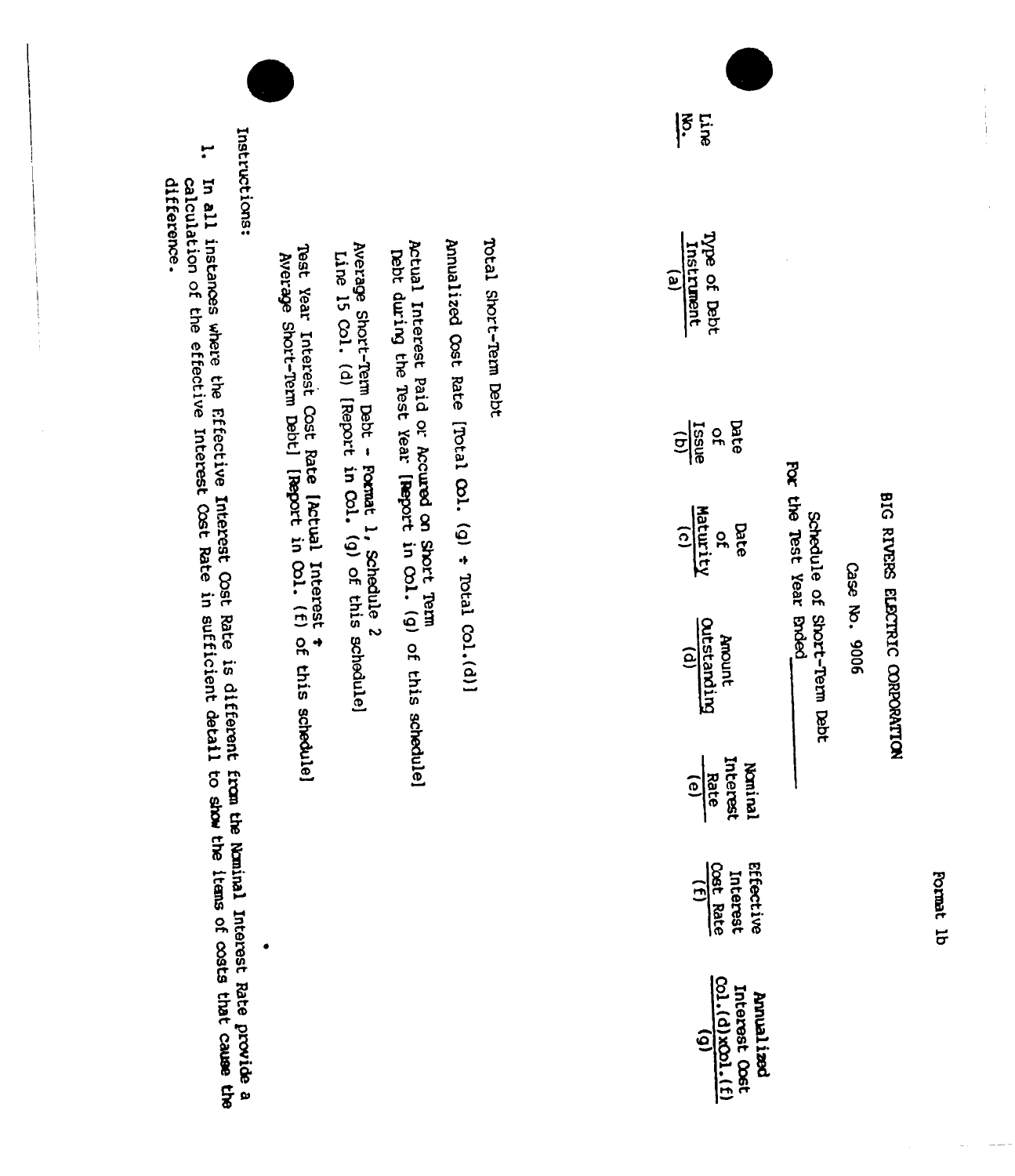Format 1b

# BIG RIVERS ELECTRIC CORPORATION

 $\begin{array}{c} \frac{1}{2} \\ \frac{1}{2} \\ 1 \end{array}$ 

Case No. 9006

For the Test Year Brded. Schedule of Short-Term Debt

 $|\xi$ **Line** 

Total Short-Term Debt

Annualized Cost Rate [Total Col. (g) + Total Col.(d)]

Actual Interest Paid or Accured on Short Term<br>Debt during the Test Year [Report in Col. (g) of this schedule]

Average Short-Term Debt - Format 1, Schedule 2<br>Line 15 Co1. (d) [Report in Co1. (g) of this schedule]

Test Year Interest Cost Rate [Actual Interest +<br>Average Short-Term Debt] [Report in Col. (f) of this schedule]

Instructions:

سر<br>د In all instances where the Effective Interest Cost Rate is different from the Numinal Interest Rate provide a<br>calculation of the effective Interest Cost Rate in sufficient detail to show the items of costs that cause the

difference.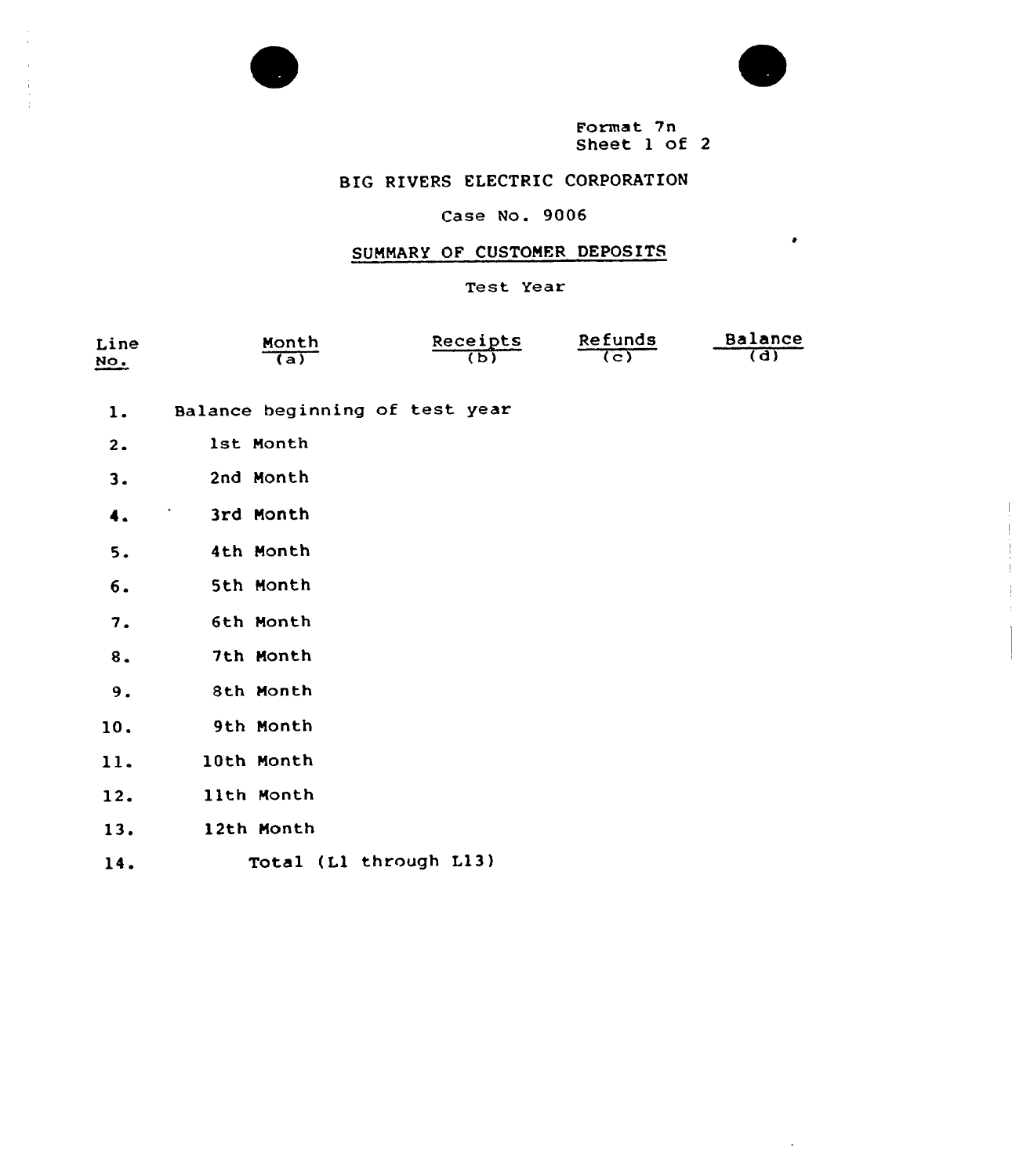



 $\bullet$ 

Format 7n Sheet 1 of <sup>2</sup>

# BIG RIVERS ELECTRIC CORPORATION

# Case No. 9006

# SUMMARY OF CUSTOMER DEPOSITS

Test Year

| Line                                                         | Month        | Receipts | Refunds          | Balance        |
|--------------------------------------------------------------|--------------|----------|------------------|----------------|
| NO.<br><b><i><u>American distances della version</u></i></b> | $\sqrt{(a)}$ |          | $\overline{(c)}$ | $\overline{d}$ |

- Balance beginning of test year  $1.$
- 1st Month  $2.$
- 2nd Month  $3.$
- 3rd Nonth  $\ddot{\bullet}$ .
- $5.$ 4th Month
- 5th Nonth  $6.$
- 6th Month  $7.$
- 7th Month  $8.$
- $9.$ 8th Month
- 9th Nonth 10.
- $11.$ 10th Month
- 11th Month  $12.$
- 12th Month  $13.$
- Total (Ll through L13) 14.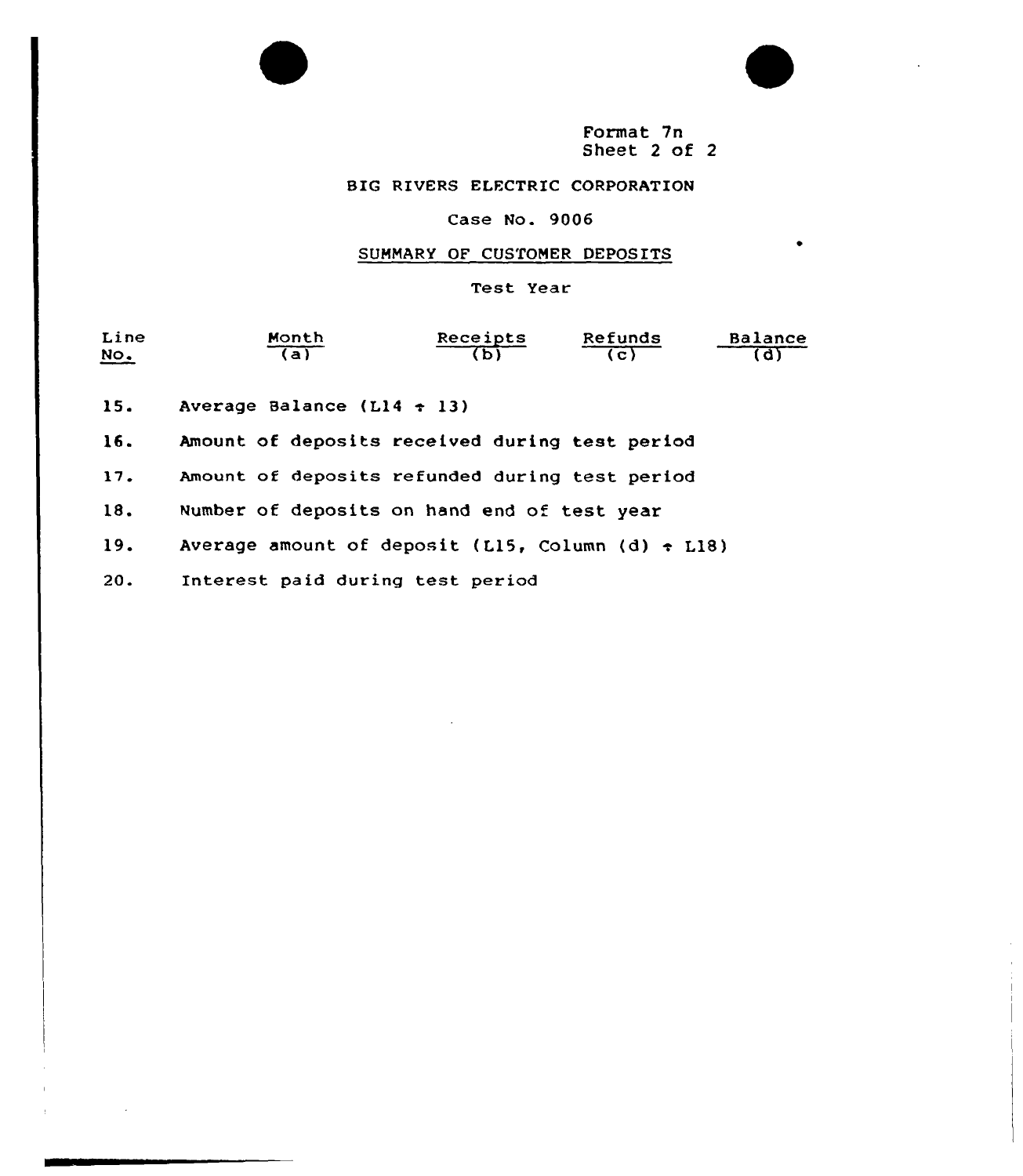

# BIG RIVERS ELECTRIC CORPORATION

## Case No. 9006

# SUMMARY OF CUSTOMER DEPOSITS

Test Year

| Line<br><u>No.</u> | Month<br>a)                    |  | Receipts | Refunds<br>$\overline{c}$ | Balance |
|--------------------|--------------------------------|--|----------|---------------------------|---------|
| 15.                | Average Balance ( $L14 + 13$ ) |  |          |                           |         |

Amount of deposits received during test period 16.

Amount of deposits refunded during test period  $17.$ 

18. Number of deposits on hand end of test year

Average amount of deposit (L15, Column (d)  $\div$  L18)  $19.$ 

 $20.$ Interest paid during test period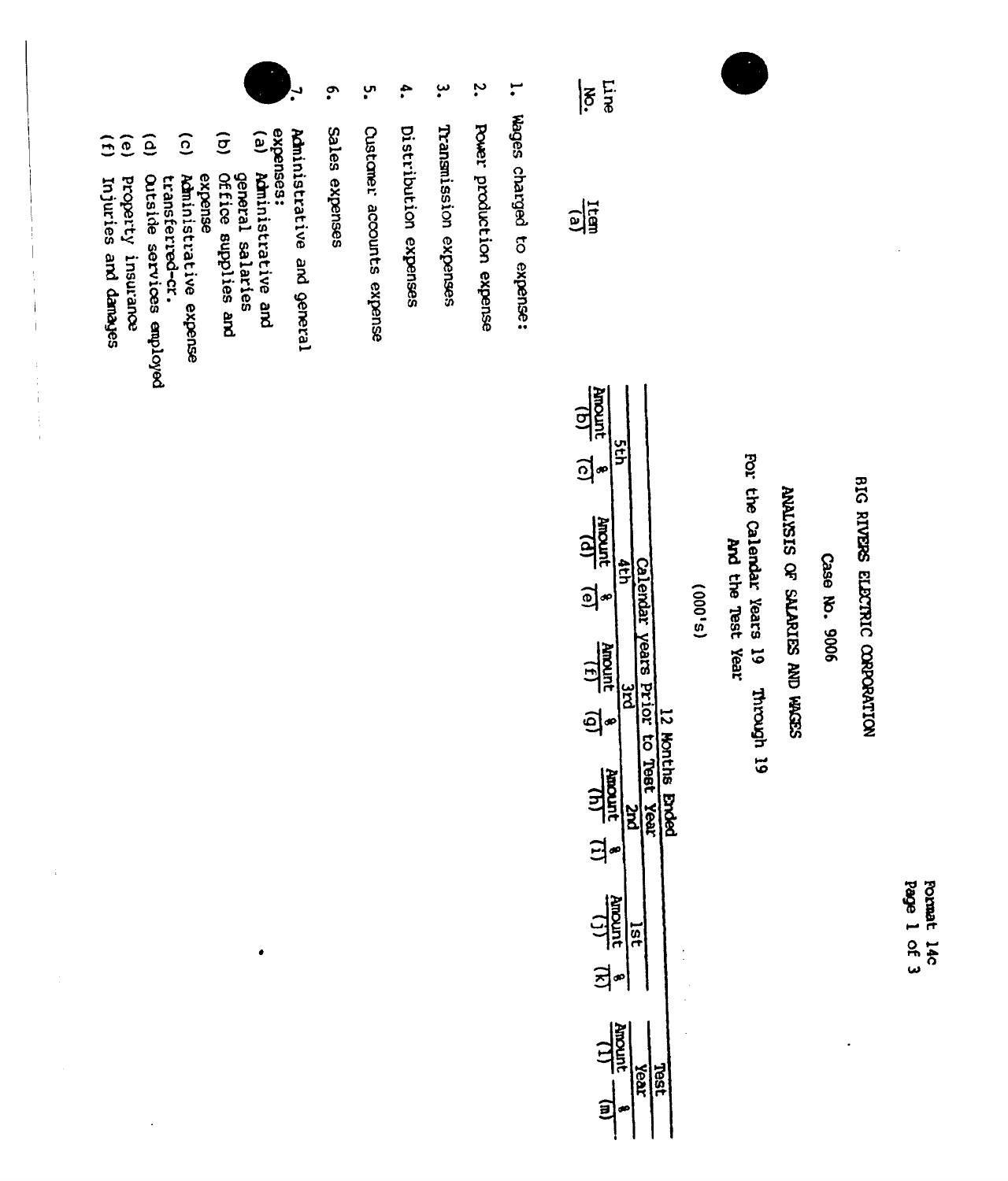Page 1 of 3 Format 14c

# BIG RIVERS ELECTRIC CORPORATION

Case No. 9006

# ANALYSIS OF SALARIES AND WORS

For the Calendar Years 19 And the Test Year et devoint

 $(5,000)$ 

| <u>ଚ</u> ୍ଚ<br>$\frac{11}{100}$<br>ב<br>בדר<br>ସ୍ତି |
|-----------------------------------------------------|
| 1981<br>D<br><b>Anount</b><br><b>Bhded</b><br>žea   |
| 크<br>$\frac{(1)}{200000}$<br>의<br><b>Anoun</b>      |

1. Wages charged to expense:

Line

 $|\tilde{g}|$ 

 $\frac{1}{2}$ 

- $\ddot{\bm{\cdot}}$ Power production expense
- ڛ Transmission expenses
- $\ddot{ }$ Distribution expenses
- ပ္ပ္က Custaner accounts expense
- $\tilde{\mathbf{C}}$ sales expenses
- Administrative and general
- expenses:
- $\epsilon$ Administrative and general salaries

 $\bullet$ 

- $\widehat{g}$ Office supplies and
- $\widehat{c}$ Administrative expense expense transferred-cr.
- $\widehat{e}$ Outside services employed
- $\widehat{e}$ property insurance
- 
- $\overline{1}$ mjuries and danajes

Ť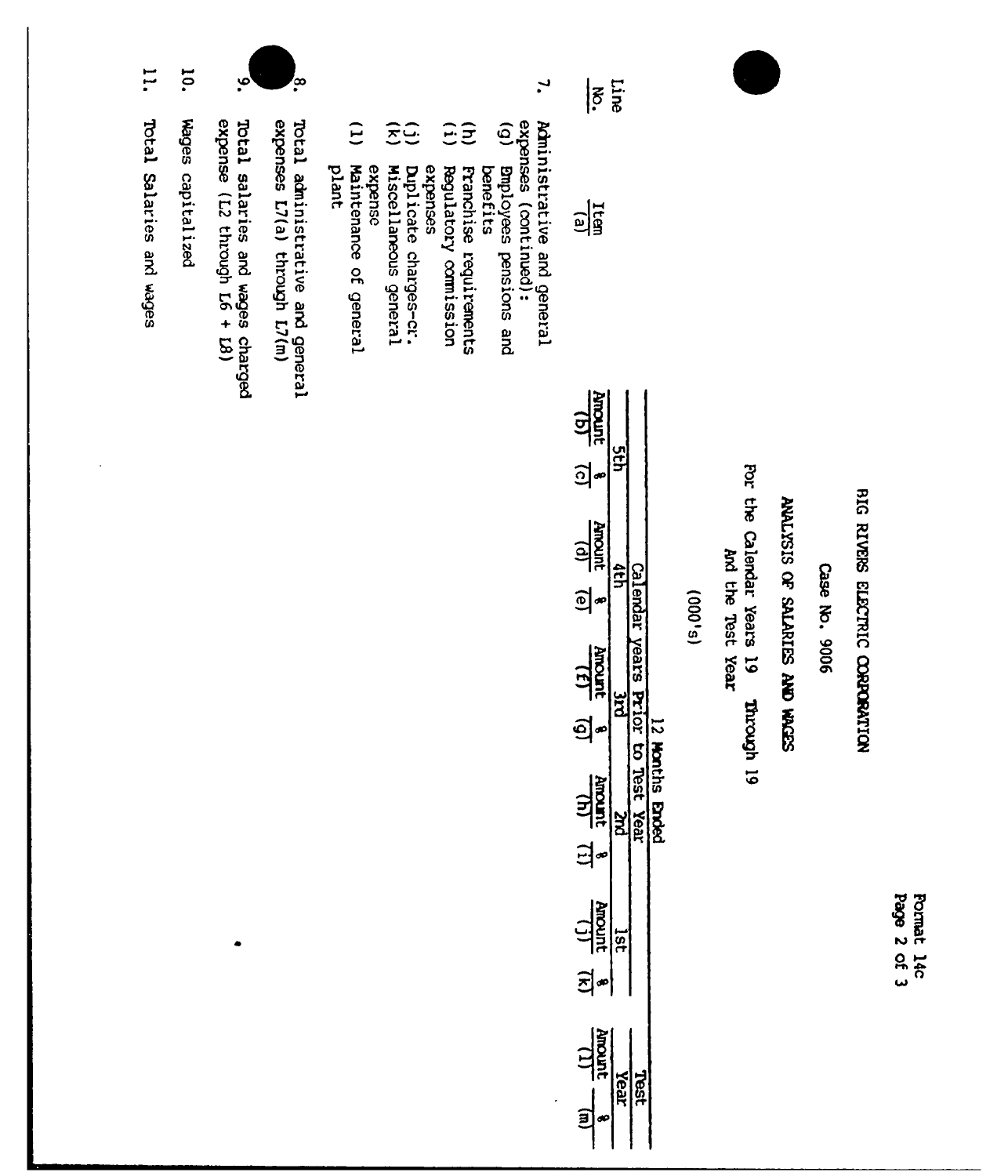

# BIG RIVERS ELECTRIC CORPORATION

Page 2 of 3 Format 14c

Case No. 9006

# SEDIM ON SULTRIES OF STRIPS

For the Calendar Years 19 And the Test Year of depoint

 $(5,000)$ 

| $\frac{1}{2}$<br><u>ଚ</u> |      |      |          |
|---------------------------|------|------|----------|
| <b>AROSITE</b><br>$\Xi$   |      |      |          |
| $\frac{1}{2}$<br>ସି       |      |      |          |
| <b>HINGIN</b><br>日        |      | Year | ry<br>So |
| <b>Albourd</b><br>회       |      |      |          |
| <b>HIROWN</b>             | Tear |      |          |

 $\ddot{\phantom{0}}$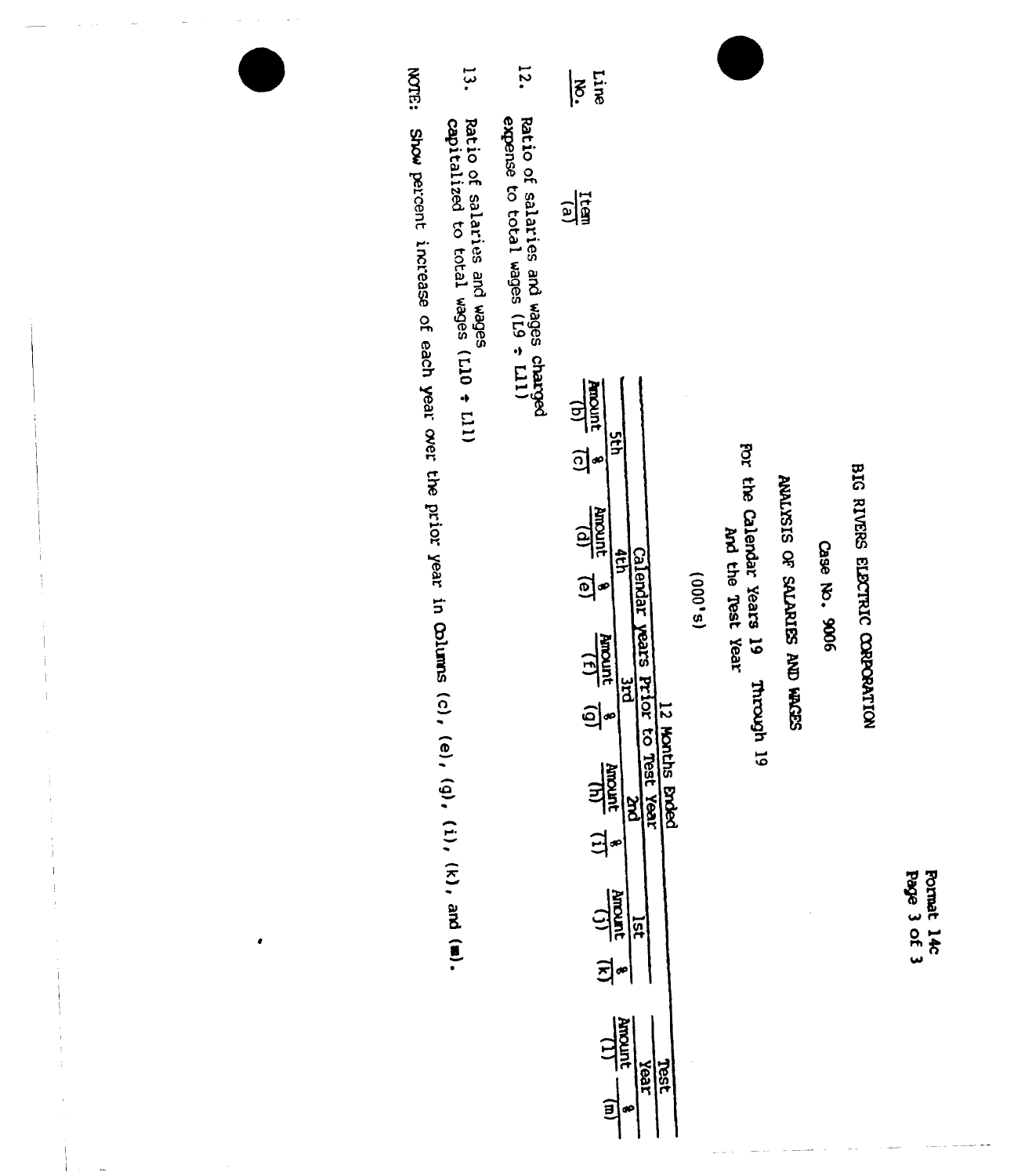| efed | roma-            |
|------|------------------|
| 2.   |                  |
|      | $\bar{\epsilon}$ |

# BIG RIVERS ELECTRIC CORPORATION

Case No. 9006

# SCOTT OF SALARIES AND HACES

por the Calendar Years 19<br>Por the Calendar Year Through 19

 $(s,000)$ 

| $\frac{1}{2}$                                              |
|------------------------------------------------------------|
| <u>อไรี</u>                                                |
| <b>REDOUT</b>                                              |
| <u>์ส</u> ุ<br>$\frac{10}{2}$<br>$\mathbb{S}^*$            |
| <b>Nour</b><br>$\tilde{\mathbf{r}}$<br>Ī<br>6              |
| <b>Test Year</b><br>hs <b>Brded</b><br><b>HIROWE</b><br>다. |
| $\frac{1}{2}$<br>ផ្<br>$\vec{z}$                           |
| <b>Hyponic</b><br>reax<br>§∂<br>$\mathbf{g}$               |

- $12.$ Ratio of salaries and wages charged<br>expense to total wages (L9 <del>:</del> L11)
- $\overline{13}$ . Ratio of salaries and wages<br>capitalized to total wages (L10 + L11)

NOTE: Show percent increase of each year over the prior year in Columns (c), (e), (g), (i), (k), and (m).

Ĵ.  $\rm \cdot$ 

 $\begin{array}{c} \n\downarrow \\ \n\downarrow \n\end{array}$ 

 $\bullet$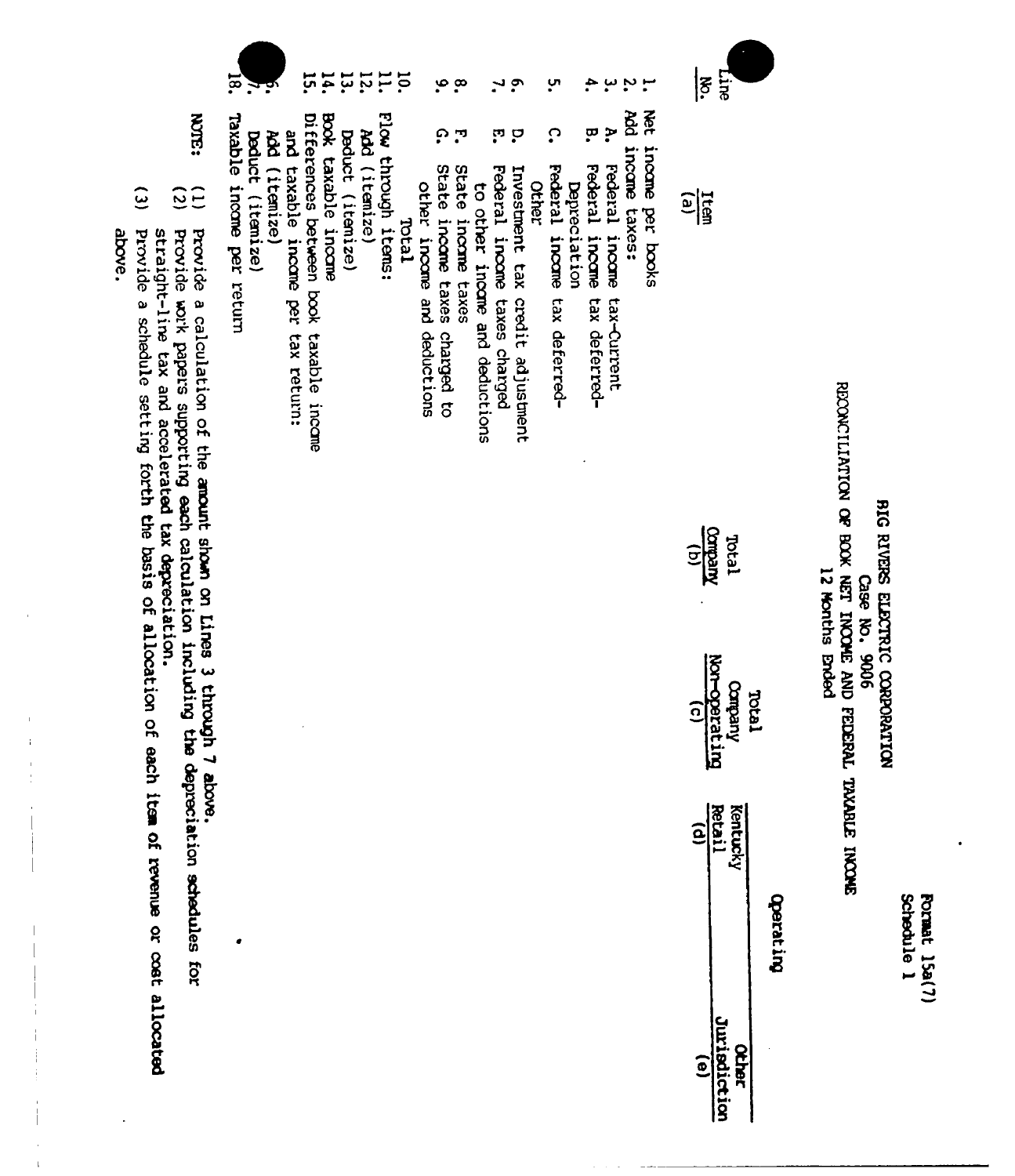**Format 15a(7)** Schedule 1

# RECONCTLINTICN OF BOOK NET INCOME AND FEDERAL TAXABLE INCONE BIG RIVERS ELECTRIC CORPORATION 12 Months Ended Case No. 9006

| Kentucky | <b>Derat In</b> |
|----------|-----------------|
|          |                 |

| क्र<br>क         | $\frac{1}{3}$                                  |
|------------------|------------------------------------------------|
| incane per books | $\frac{1}{2}$                                  |
|                  |                                                |
|                  | Total<br><u>Vneqno</u><br>(b)                  |
|                  | Company<br>Mor-operatin<br>(c)<br><b>Tetal</b> |
|                  | Retai<br>(entuci                               |
|                  |                                                |

- 
- $\cdot$   $\sim$ Add income taxes:
- ŗ Federal income tax-Current
- ÷. ā Federal income tax deferred-**Depreciation**
- ო<br>• ္ Federal income tax deferred-
- Investment tax credit adjustment Other
- م ب **ុ** Federal income taxes charged
- to other incame and deductions
- $\frac{1}{2}$ **بن** ن State income taxes
- State income taxes charged to other income and deductions
- $\frac{10}{11}$ Teran
- Flow through items:
- 
- $\overline{5}$ Add (itemize)
- $\mathbf{13}$ Deduct (itemize)
- $\overline{14}$ Book taxable income
- ដូ Differences between book taxable income
- and taxable income per tax return:
- Add (itemize)
- Deduct (itemize)
- Taxable income per return

 $\overline{\mathbf{z}}$ 

- provide a calculation of the amount shown on Lines 3 through 7 above.
- **ROCH:**  $\frac{1}{25}$ Provide work papers supporting each calculation including the depreciation schedules for
- straight-line tax and accelerated tax depreciation.
- $\tilde{c}$ Provide a schedule setting forth the basis of allocation of each item of revenue or cost allocated

 $\mathbf{I}$ 

above.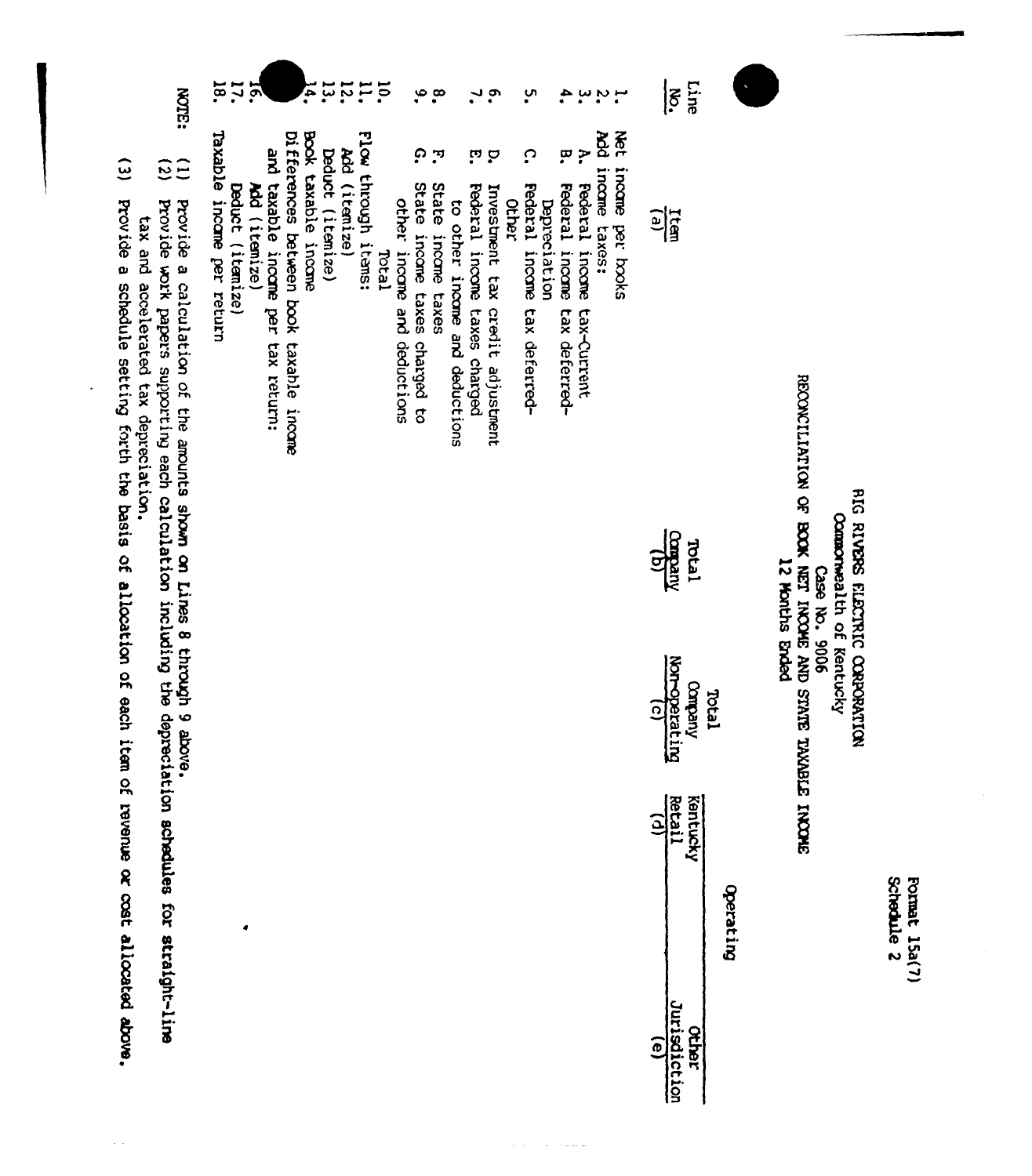| k |
|---|
|   |
|   |
|   |

# SHOWITIZION OF BOOK NET INCOME AND STATE TAXABLE INCOME **BIG RIVERS ELECTRIC CORPORATION** Commonwealth of Kentucky 12 Months Ended Case No. 9006

| $\frac{1}{5}$ $\frac{1}{5}$<br>$\frac{1}{2}$<br>$\frac{1}{\text{tanh}}$<br>$\frac{1}{\text{tanh}}$<br>Comperating<br>Annoperating |
|-----------------------------------------------------------------------------------------------------------------------------------|
| urisdiction<br>ø                                                                                                                  |

- $\frac{1}{2}$ 
	- net finding pet izzota<br>Add income taxes:
- $\tilde{\mathbf{r}}$ Federal income tax-Current
- 4. ā Federal income tax deferred-**Depreciation**

 $\bar{z}$ ن برابر ا

- ო<br>• ္ Federal income tax deferred-Other
- **PP** Investment tax credit adjustment

 $\sim$   $\sim$ 

- Federal income taxes charged
- to other income and deductions
- $\mathbf{r}$ State income taxes
- ဖ္ေစ ဂ္ State income taxes charged to other income and deductions
- $\frac{10}{11}$ Flow through items: Total
- 
- Add (itemize)
- 
- 11<br>21<br>24<br>21 Deduct (itemize)
- Book taxable incone
- Differences between book taxable income
- and taxable income per tax return:
- Add (itemize)
- $12.18$  $\mathbf{E}$ Deduct (itemize)
- 
- Taxable income per return
- **ROTE:**
- $\overline{c}$ Provide a calculation of the amounts shown on Lines 8 through 9 above.<br>Provide work papers supporting each calculation including the depreciation schedules for straight-line tax and accelerated tax depreciation.
- $\tilde{z}$ Provide a schedule setting forth the basis of allocation of each item of revenue or cost allocated above.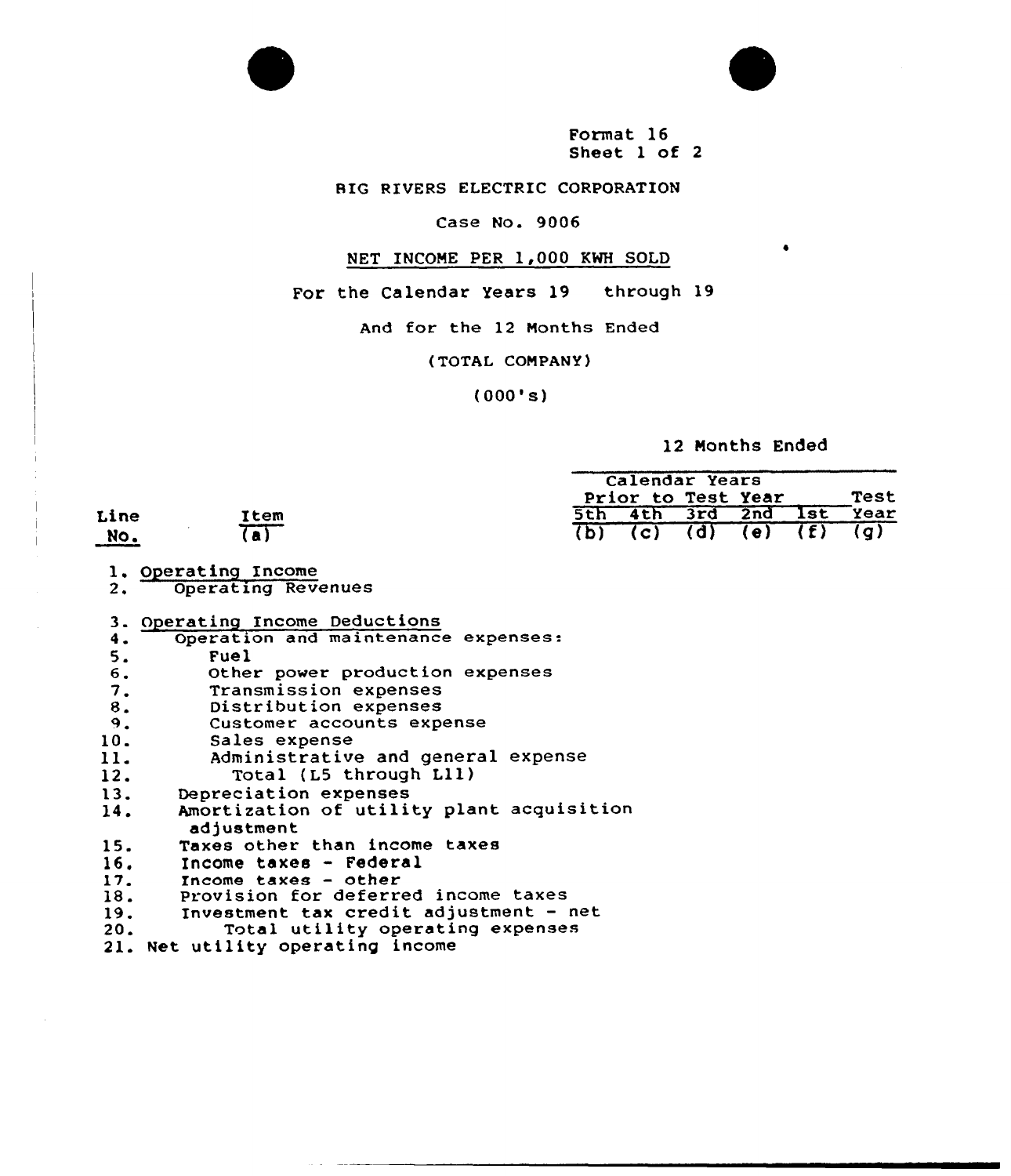

Format 16 Sheet 1 of 2

RIG RIVERS ELECTRIC CORPORATION

### Case No. 9006

### NET INCOME PER 1,000 KWH SOLD

For the Calendar Years 19 through 19

And for the 12 Months Ended

{TOTAL COMPANY)

(000's)

12 Months Ended

|                              |                      | Calendar Years            |      |  |  |  |  |
|------------------------------|----------------------|---------------------------|------|--|--|--|--|
|                              |                      | Prior to Test Year        | Test |  |  |  |  |
| Line                         | Item                 | 5th 4th 3rd 2nd 1st       | Year |  |  |  |  |
| $\overline{\phantom{1}}$ No. | $\overline{a\Gamma}$ | (b) (c) (d) (e) $(f)$ (g) |      |  |  |  |  |

- 1. Operating Income<br>2. Operating Rev
- Operating Revenues
- 3. Operating Income Deductions<br>4. Operation and maintenance
- 4. Operation and maintenance expenses:<br>5. Fuel
- 
- 6. Other power production expenses<br>7. Transmission expenses
- 
- 
- 8. Distribution expenses<br>9. Customer accounts expenses Customer accounts expense
- 
- 10. Sales expense<br>11. Administrative and general expense<br>12. Total (L5 through L11)
- 12. Total (L5 through L11)<br>13. Depreciation expenses
- 
- 13. Depreciation expenses<br>14. Amortization of utili Amortization of utility plant acquisition adjustment
- 15. Taxes other than income taxes<br>16. Income taxes Federal
- 
- 16. Income taxes Federal<br>17. Income taxes other
- 18. Provision for deferred income taxes<br>19. Provestment tax credit adjustment -
- 19. Investment tax credit adjustment net<br>20. Total utility operating expenses
- Total utility operating expenses
- 21. Net utility operating income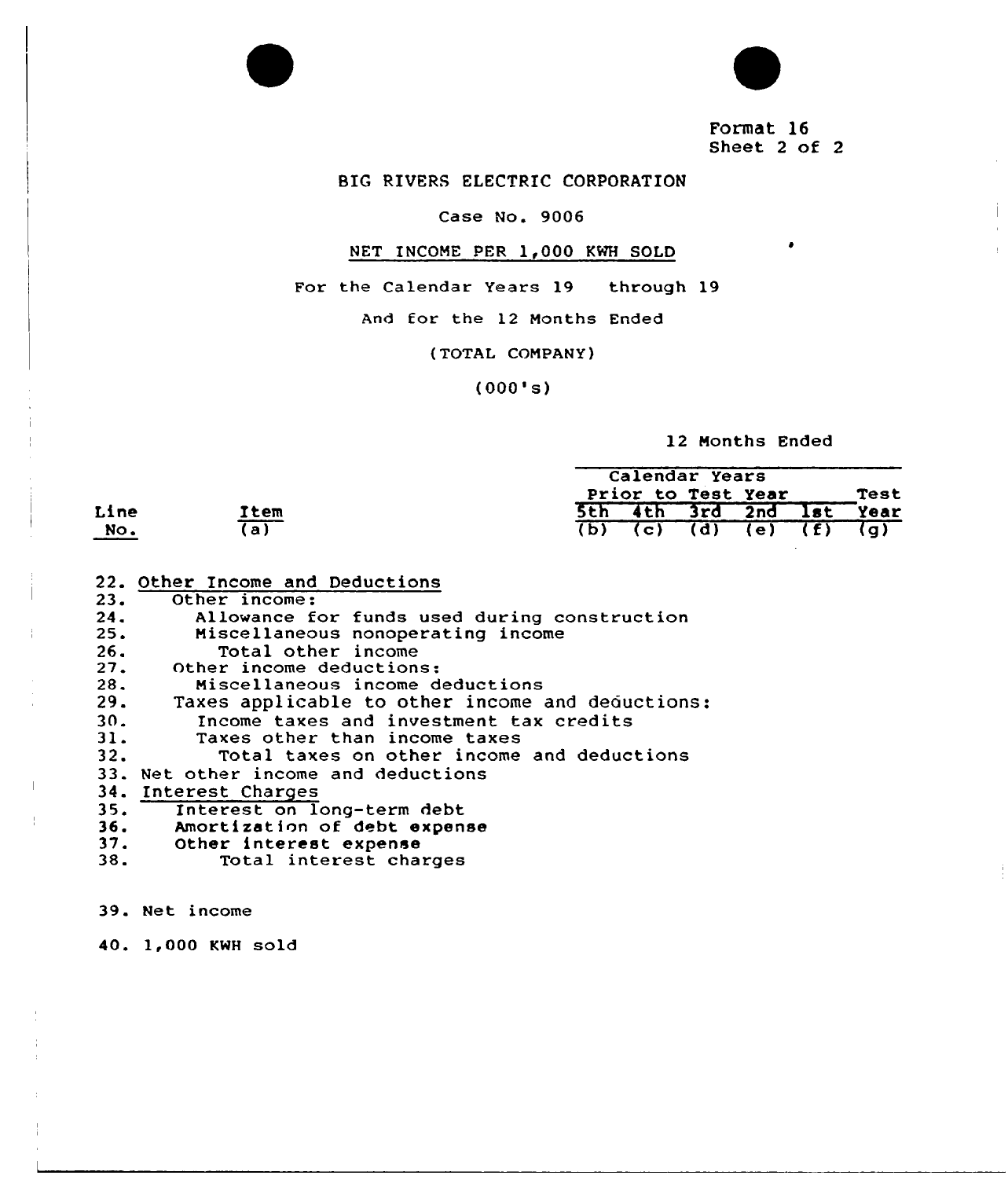

Format 16 Sheet <sup>2</sup> of <sup>2</sup>

 $\bullet$ 

# BIG RIVERS ELECTRIC CORPORATION

# Case No. 9006

# NET INCOME PER 1,000 KWH SOLD

For the Calendar Years 19 through 19

And for the 12 Months Ended

{TOTAL COMPANY)

(000's)

12 Months Ended

|      |                 | Calendar Years            |      |
|------|-----------------|---------------------------|------|
|      |                 | Prior to Test Year        | Test |
| Line | Item            | 5th 4th 3rd 2nd 1st Year  |      |
| No.  | $\overline{a)}$ | $(b)$ (c) (d) (e) (f) (g) |      |

|                 | 22. Other Income and Deductions                  |
|-----------------|--------------------------------------------------|
| 23.             | Other income:                                    |
| 24.             | Allowance for funds used during construction     |
| 25.             | Miscellaneous nonoperating income                |
| 26.             | Total other income                               |
| 27.             | Other income deductions:                         |
| 28.             | Miscellaneous income deductions                  |
| 29.             | Taxes applicable to other income and deductions: |
| 30 <sub>z</sub> | Income taxes and investment tax credits          |
| 31.             | Taxes other than income taxes                    |
| 32.             | Total taxes on other income and deductions       |
|                 | 33. Net other income and deductions              |
|                 | 34. Interest Charges                             |
|                 | 35. Interest on long-term debt                   |
| 36.             | Amortization of debt expense                     |
|                 | 37. Other interest expense                       |
| 38.             | Total interest charges                           |
|                 |                                                  |

39. Net income

40. 1,000 KWH sold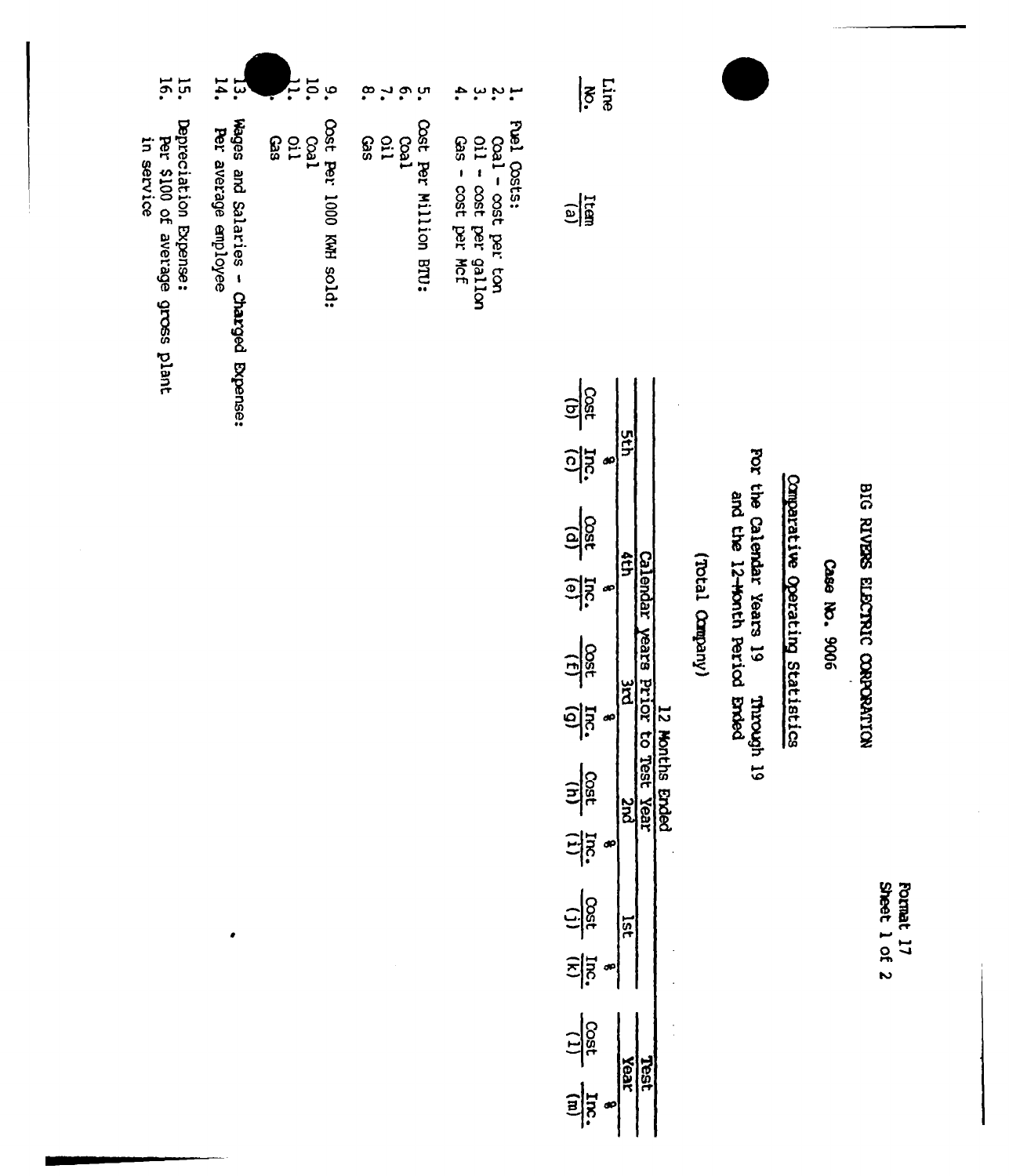| <b>Shee</b> | ð<br>Ę |
|-------------|--------|
|             |        |
|             |        |
|             |        |

# BIG RIVERS ELECTRIC CORPORATION

Case No. 9006

# Comparative Operating Statistics

For the Calendar Years 19 une catendar Years 19 Through 19<br>and the 12-Worth Period Broad

# (Viequeto Leach)

| 학               |  |  |
|-----------------|--|--|
| <u>이 :</u>      |  |  |
| $\frac{5}{150}$ |  |  |
| <u>als</u>      |  |  |
| 부정              |  |  |
| <u>ခြား</u>     |  |  |
| $\frac{1}{25}$  |  |  |
| 덕               |  |  |
| <u>င်ခြီ</u>    |  |  |
| 의               |  |  |
| <u>다형</u>       |  |  |
| $\frac{1}{3}$   |  |  |

ب بہ بہ ب<br>•<br>• Fuel Costs:

Line  $|\tilde{s}|$ 

 $\frac{\Gamma(\mathbf{B})}{\Gamma(\mathbf{B})}$ 

- 
- 
- $\begin{array}{l} \text{Coal} \text{ost per tor} \\ \text{oil} \text{cost per galion} \\ \text{Gas} \text{cost per Mef} \end{array}$
- Cost Per Million BTU:
- $\ddot{\circ}$  ,  $\ddot{\circ}$  ,  $\ddot{\circ}$
- Coal<br>Gil<br>Gas
- 
- Cost Per 1000 KWH sold:
- موعة.<br>ה  $\frac{3}{6}$ <br> $\frac{3}{6}$ <br> $\frac{3}{6}$ 
	-
- 
- Wages and Salaries Charged Expense:<br>Per average employee

 $\bullet$ 

- $\frac{1}{3}$   $\frac{1}{4}$ .
- 
- $15.$
- Depreciation Expense:<br>Per \$100 of average gross plant<br>in service
- 
-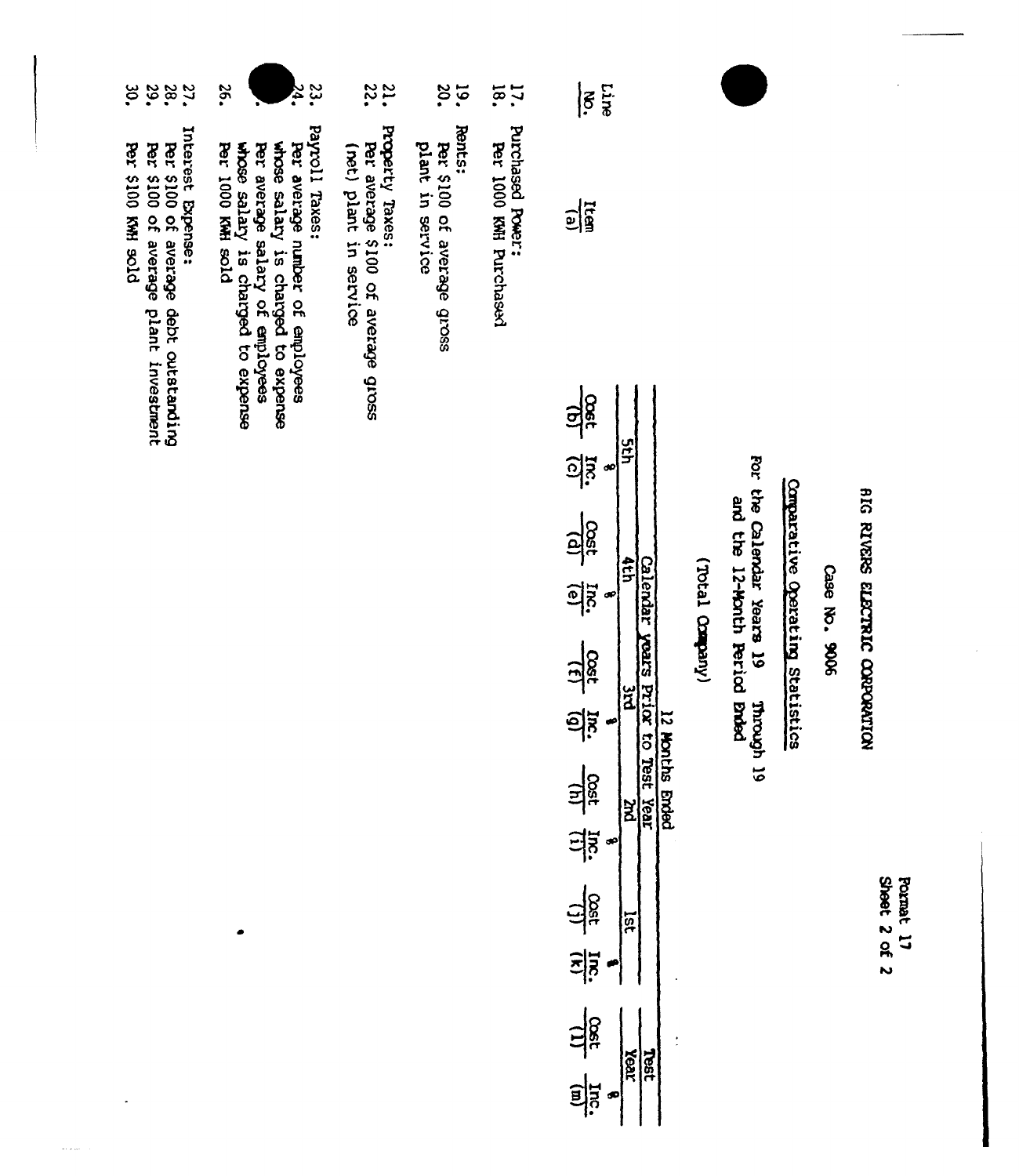| 29.<br>پو<br>پ<br>27.                                                                                                            | 23.<br>26.<br>24.                                                                                                                                                                            | 31.                                                                             | 20.<br><b>19.</b>                                        | 17.1                                       | Line<br>$\boldsymbol{\tilde{5}}$                                                                               |                 |                                         |                                  |               |                                        |
|----------------------------------------------------------------------------------------------------------------------------------|----------------------------------------------------------------------------------------------------------------------------------------------------------------------------------------------|---------------------------------------------------------------------------------|----------------------------------------------------------|--------------------------------------------|----------------------------------------------------------------------------------------------------------------|-----------------|-----------------------------------------|----------------------------------|---------------|----------------------------------------|
| Interest Expense:<br><b>DLOR HWN 0013 1993</b><br>Per \$100 of average plant investment<br>Per \$100 of average debt outstanding | Payroll Taxes:<br>whose salary is charged to expense<br>whose salary is charged to expense<br><b>Per 1000 KWH sold</b><br>Per average number of employees<br>Per average salary of employees | Property Taxes:<br>Per average \$100 of average gross<br>(net) plant in service | Rents:<br>Per \$100 of average gross<br>plant in service | Purchased Power:<br>Per 1000 KWH Purchased | $\frac{1}{2}$                                                                                                  |                 |                                         |                                  |               |                                        |
|                                                                                                                                  |                                                                                                                                                                                              |                                                                                 |                                                          |                                            | $\frac{1}{2}$<br><b>Sth</b><br><u>als</u><br>œ<br>$\frac{1}{2}$<br>dth                                         |                 | For the Calendar Years 19               |                                  |               |                                        |
|                                                                                                                                  |                                                                                                                                                                                              |                                                                                 |                                                          |                                            | <b>Calendar</b><br><u>els</u><br>œ<br>years Prior to<br>$\frac{13}{150}$<br>ă<br><u>als</u><br>œ               | (Votal Crapany) | and the 12-Month Period Brded<br>youndh | Comparative Operating Statistics | Case No. 9006 | <b>BIG RIVERS ELECTRIC CORPORATION</b> |
|                                                                                                                                  |                                                                                                                                                                                              |                                                                                 |                                                          |                                            | 12 Months Ended<br>Test<br>$\frac{111}{111}$ $\frac{111}{110}$<br>Year<br>$\overline{\mathbf{z}}$<br>$\bullet$ |                 | ಠ                                       |                                  |               |                                        |
|                                                                                                                                  | ۰                                                                                                                                                                                            |                                                                                 |                                                          |                                            | $\frac{d\mathbf{r}}{d\mathbf{r}}$<br>lst<br>$\frac{1}{2}$                                                      |                 |                                         |                                  |               | Sheet 2 of 2<br>Format 17              |

 $\frac{\frac{\text{rest}}{\text{Cost}}}{\text{Test}}$ 

 $\frac{1}{2}$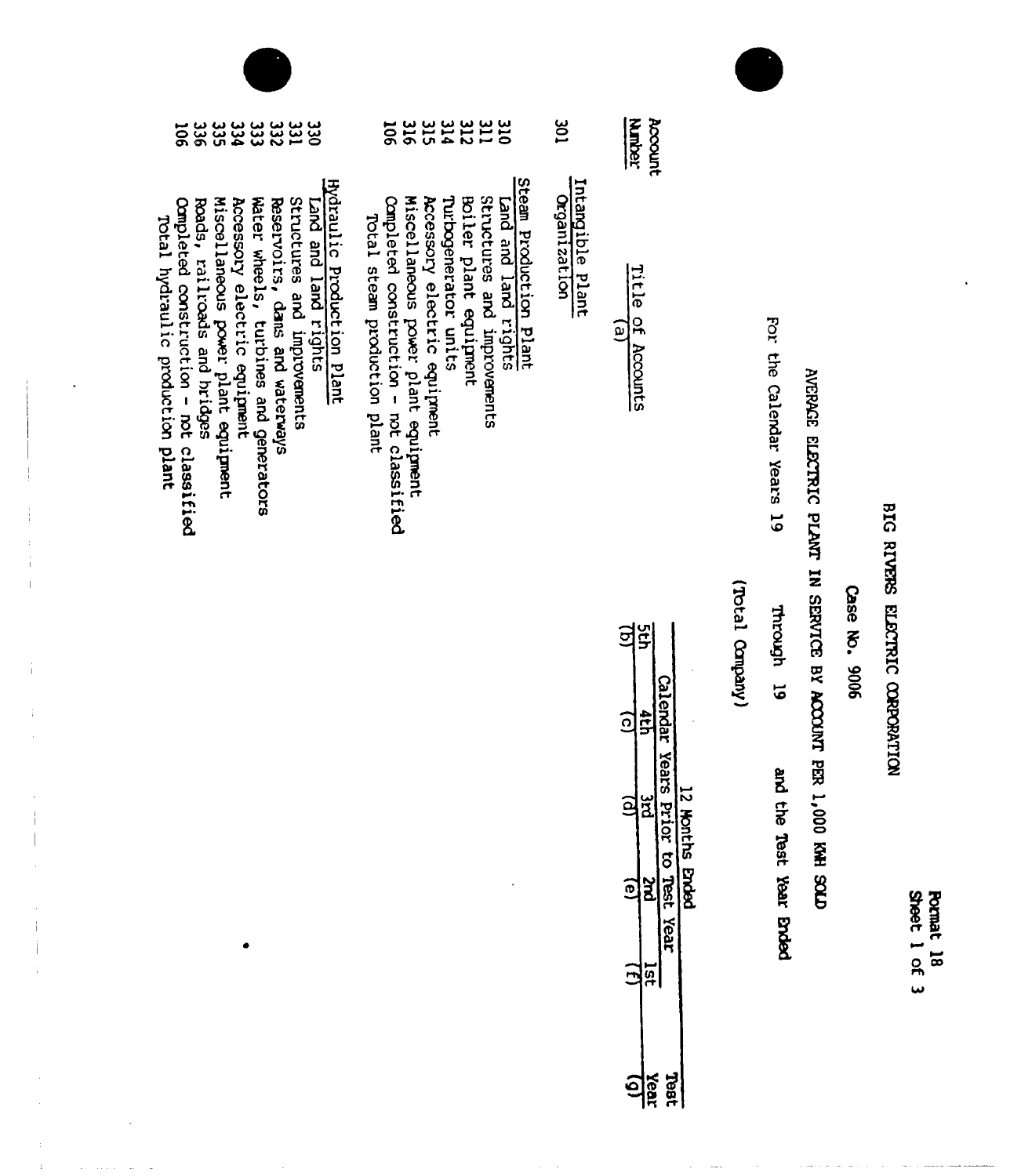| <b>Sheet</b> | <b>Pormal</b><br>ో |
|--------------|--------------------|
|              | ಹ                  |
| ల్ల          |                    |

# BIG RIVERS ELECTRIC CORPORATION

# Case No. 9006

# AVERAGE ELECTRIC PLANT IN SERVICE BY ACCOUNT PER 1,000 KWH SOLD

For the Calendar Years 19 Through 19 and the Test Year anded

(Viequeo Ision)

|   |      | က             |                                   | O | ζ        |  |
|---|------|---------------|-----------------------------------|---|----------|--|
| ë | ក្នុ |               |                                   |   | ទ្ធ<br>ទ |  |
|   |      |               | Calendar Years Prior to Test Year |   |          |  |
|   |      | reprise throw | $\frac{1}{2}$                     |   |          |  |

|    | n<br>F                                   |
|----|------------------------------------------|
| نه | Ξ.<br>ក្ខ<br>ļ<br>Account<br>i<br>Ų<br>ż |

Account

# **JOE** Intangible Plant Organization

# Steam Production Plant<br>Land and land rights

- **ESHANAS** Structures and improvements
	- Boiler plant equipment
	- Turbogenerator units
	- Accessory electric equipment
	- Miscellaneous power plant equipment
- Completed construction not classified Total steam production plant

- Hydraulic Production Plant<br>Land and land rights
- Structures and improvements
- Reservoirs, dans and waterways
- Water wheels, turbines and generators
- Accessory electric equipment
- Miscellaneous power plant equipment
- **33333333350**<br>24333486 Completed construction - not classified Roads, railroads and hridges
- 
- Total hydraulic production plant

 $\mathbf{i}$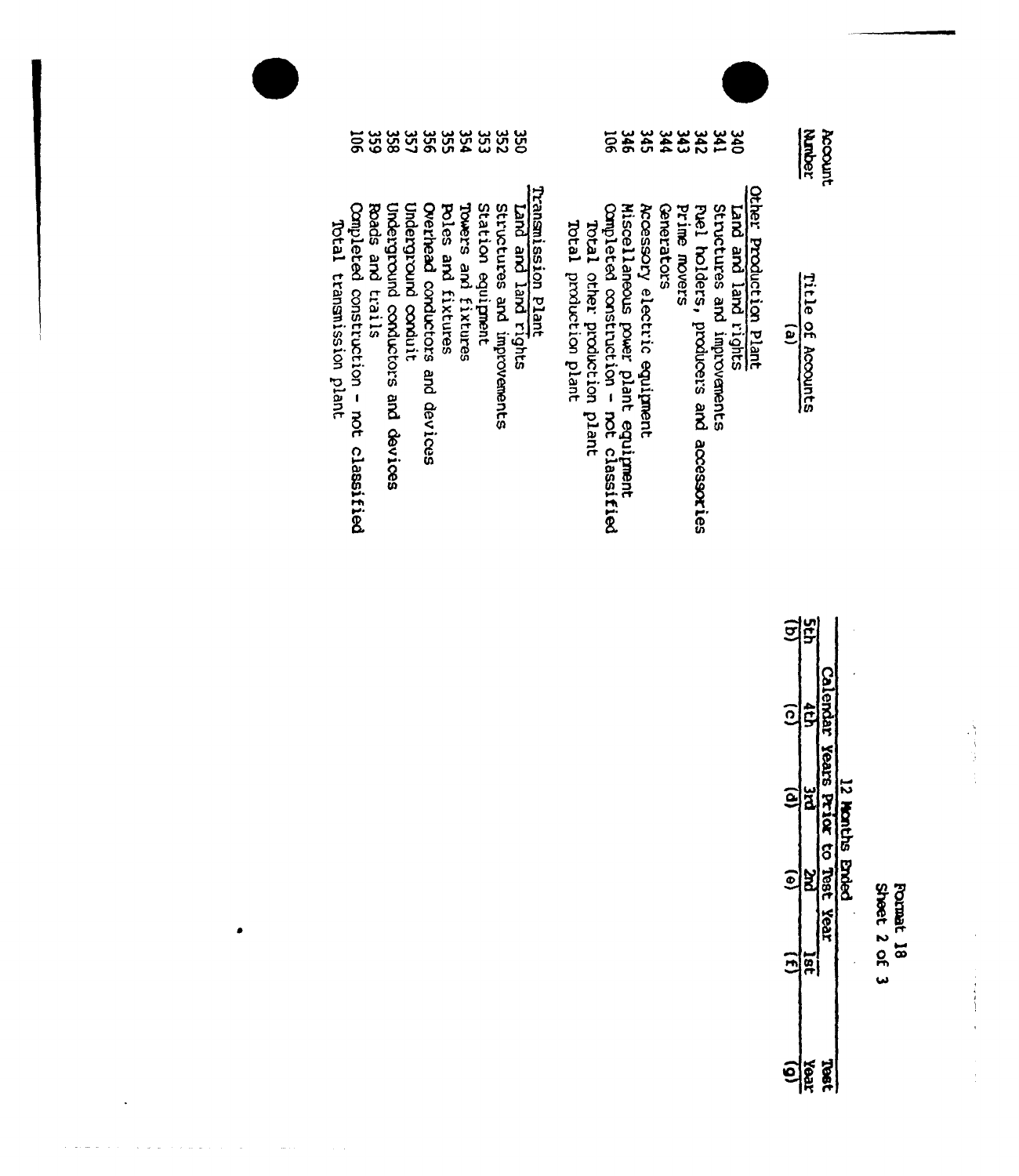| <b>Sheet</b> | ğ<br>Ē |
|--------------|--------|
|              | α      |
| ×            |        |

 $\frac{1}{2} \left( \frac{1}{2} \right)$ 

 $\begin{array}{c} \bullet & \bullet \\ \bullet & \bullet \end{array}$ 

 $\hat{\boldsymbol{\epsilon}}$ 

| Ī   | is<br>R                     |                                    |
|-----|-----------------------------|------------------------------------|
|     | <b>Pars Prior</b>           | ġ                                  |
|     | Ĩ.<br><b>TSSL</b><br>: Year | CB Enced                           |
| lat |                             |                                    |
|     |                             | ຊ່<br><b>TEG7</b><br>$\frac{1}{2}$ |

|                          | 359<br>ត្ថ                                                  |                                    |                     |                                    |                    |                     | 32333333          |                             | <b>USC</b>                                 |                        |                              | ទ្គ                                     | 346                                 | 345                          | 344               | 343          | 342                                        | <b>S41</b>                  | 340                 |                        |                | Mader                | Account |
|--------------------------|-------------------------------------------------------------|------------------------------------|---------------------|------------------------------------|--------------------|---------------------|-------------------|-----------------------------|--------------------------------------------|------------------------|------------------------------|-----------------------------------------|-------------------------------------|------------------------------|-------------------|--------------|--------------------------------------------|-----------------------------|---------------------|------------------------|----------------|----------------------|---------|
| Total transmission plant | Completed construction - not classified<br>Boads and trails | Underground conductors and devices | Underground conduit | Overhead conductors<br>and devices | Poles and fixtures | Towers and fixtures | Station equipment | structures and improvements | Transmission Plant<br>Land and land rights | Total production plant | Total other production plant | Completed construction - not classified | Miscellaneous power plant equipment | Accessory electric equipment | <b>Conerators</b> | Prime movers | Puel holders, producers and<br>accessories | Structures and improvements | Canpii bral bna bna | Other Production Plant | $\overline{e}$ | Title<br>of Accounts |         |

| <b>Comp</b> | <b>Boad</b> | Under | Overl<br>Undei | <b>Pole</b> | Tower | <b>Stat</b><br>Stat | <b>DHIET</b> |
|-------------|-------------|-------|----------------|-------------|-------|---------------------|--------------|

 $\bullet$ 

 $\sim 10^{11}$ 

 $\ddot{\phantom{a}}$ 

 $\label{eq:3.1} \Delta\hat{\phi}(\hat{\theta}) = \hat{\phi}(\hat{\theta}^{\dagger}) + \hat{\phi}(\hat{\theta}^{\dagger}) + \hat{\phi}(\hat{\theta}^{\dagger}) + \hat{\phi}(\hat{\theta}^{\dagger}) + \hat{\phi}(\hat{\theta}^{\dagger}) + \hat{\phi}(\hat{\theta}^{\dagger}) + \hat{\phi}(\hat{\theta}^{\dagger}) + \hat{\phi}(\hat{\theta}^{\dagger}) + \hat{\phi}(\hat{\theta}^{\dagger}) + \hat{\phi}(\hat{\theta}^{\dagger}) + \hat{\phi}(\hat{\theta}^{\dagger}) + \hat{\phi}(\hat{\theta}^{\dagger}) + \hat{\phi}(\$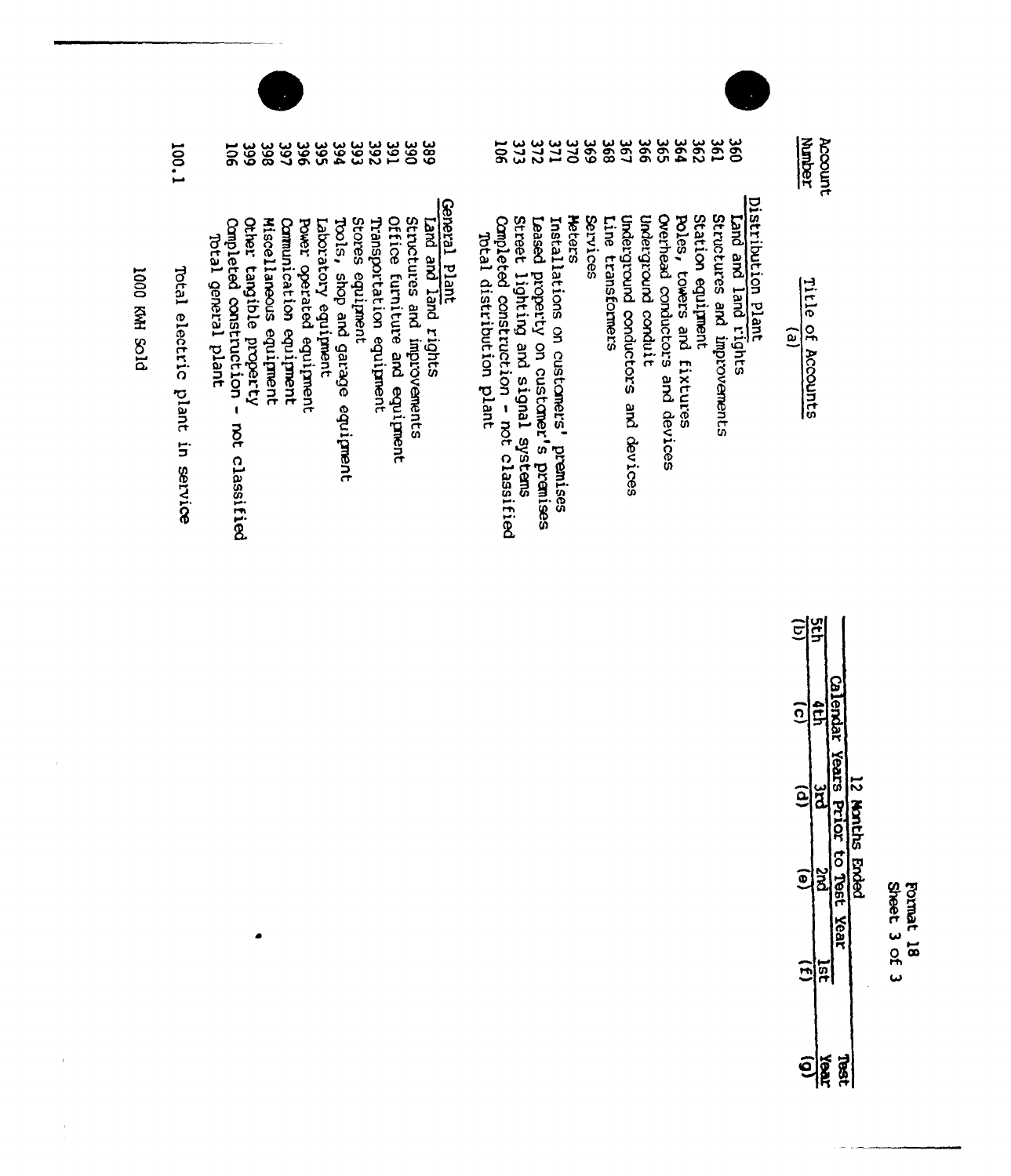| ı |                                                |
|---|------------------------------------------------|
|   | ֝֜֜֜֜֜֜֜֜֜֜֜֜֜֜֜֜֜֜֜֜֜ <del>֓</del> ׅ֛֛֓֘֝֜֜֜֓ |
|   |                                                |
|   |                                                |
|   | ₹                                              |
|   | ř                                              |
|   |                                                |
|   |                                                |
|   | ಹ                                              |
| ļ |                                                |
|   |                                                |

Sheet 3 of 3

| ົດ<br>ີເ<br>ē | ata.<br>ă          | Calendar<br>Years Prior to Test Year | 12 Nonths Ender. |
|---------------|--------------------|--------------------------------------|------------------|
|               | ធ្ល<br><b>Teel</b> | 9<br>Pi                              |                  |

<u> 태일</u>

| <b>Structures</b> | <b>DUET</b> | is<br>Ĕ |
|-------------------|-------------|---------|
|                   |             | ξ       |
|                   | Ë           | ∷       |
|                   |             | ō       |
| and<br>Si         | <b>Jur</b>  | n<br>B  |
|                   | ۲           |         |
|                   |             |         |

Account<br>Munber

ritle of Accounts  $\widehat{e}$ 

- rovements <u>င်္ဂ</u>
- 
- Poles, towers and fixtures Station equipment
- Overhead conductors and devices
- Underground conduit
	- Underground conductors and devices
	- Line transformers
	- **Services**
	- **Meters**
	- Installations on customers' premises
	-
	- Leased property on customer's premises<br>Street lighting and signal systems.
- Completed construction not classified
- Total distribution plant

# General Plant

- Eand and land rights
- structures and improvements
- Office furniture and equipment
- Transportation equipment
- Stores equipment
- Tools, shop and garage equipment
- Laboratory equipment
- Power operated equipment
- Communication equipment
- Miscellaneous equipment
- 

 $\blacksquare$ 

- Completed construction other tangible property not classified
- Total general plant
- 100.1 Total electric plant in service

DIOS HWN 0001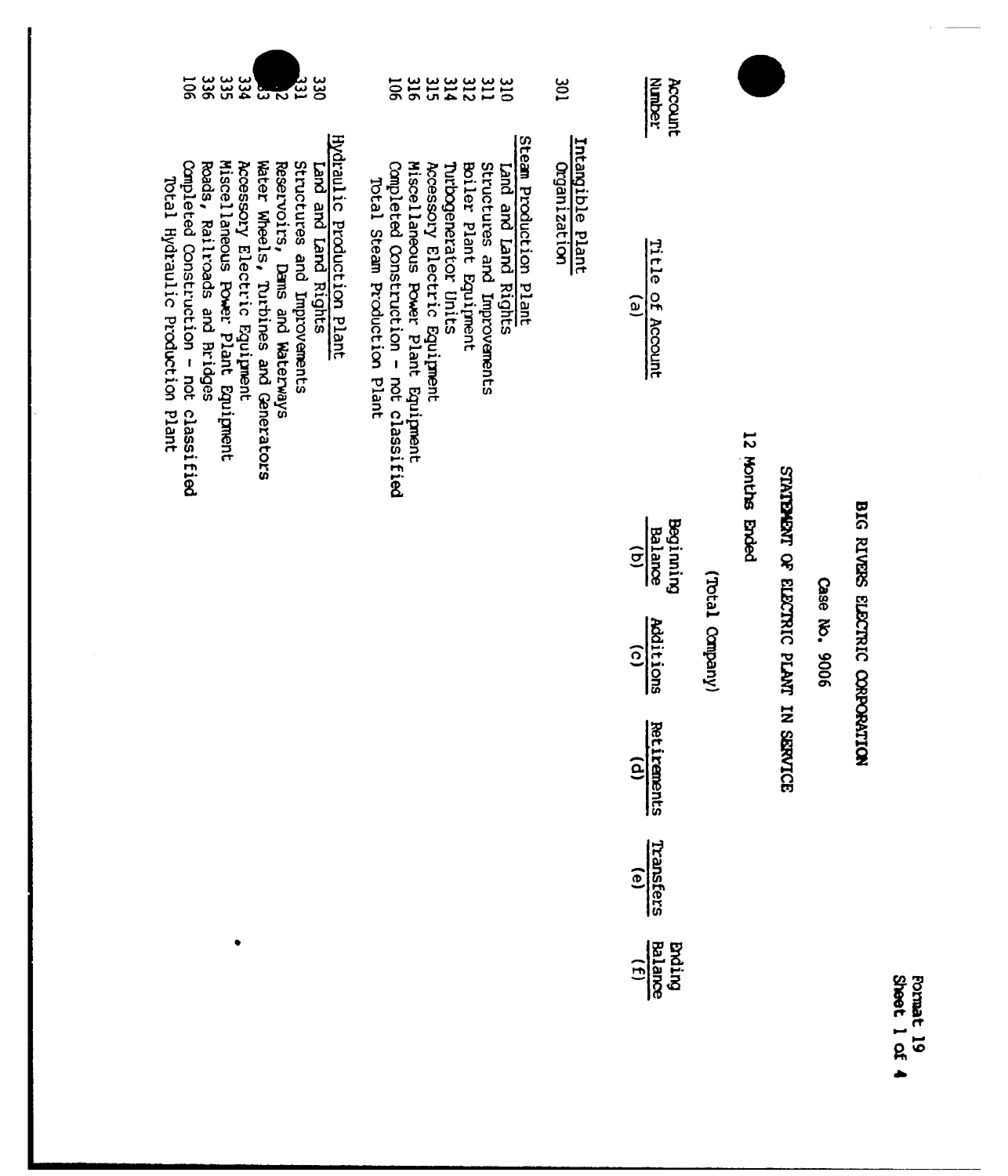| 336<br>355<br>34<br>50<br>331293<br>ပ္ကပ္က                                                                                                                                                                                                                                                                     | anamana<br>212225<br>$\overline{5}$                                                                                                                                                                                                                                               | 301                              | Account<br>Number                                     |                 |                 |                                        |               |                                 |  |
|----------------------------------------------------------------------------------------------------------------------------------------------------------------------------------------------------------------------------------------------------------------------------------------------------------------|-----------------------------------------------------------------------------------------------------------------------------------------------------------------------------------------------------------------------------------------------------------------------------------|----------------------------------|-------------------------------------------------------|-----------------|-----------------|----------------------------------------|---------------|---------------------------------|--|
| Hydraulic Production Plant<br>Miscellaneous Power Plant Equipment<br>Water Wheels, Turbines and Generators<br>Completed Construction - not classified<br>Accessory Electric Equipment<br>Structures and Improvements<br>Roads, Railroads and Bridges<br>Reservoirs, Dams and Waterways<br>Land and Land Rights | Steam Production Plant<br>Completed Construction - not classified<br>Miscellaneous Power Plant Equipment<br>Accessory Electric Equipment<br>Purbogenerator Units<br>Structures and Improvements<br>Boiler Plant Equipment<br>Land and Land Rights<br>Total Steam Production Plant | Intangible Plant<br>Organization | Title of Account<br>$\widehat{e}$                     |                 | 12 Honths Ended |                                        |               |                                 |  |
|                                                                                                                                                                                                                                                                                                                |                                                                                                                                                                                                                                                                                   |                                  | Beginning<br><b>Balance</b><br>$\widehat{\mathbf{e}}$ |                 |                 |                                        |               |                                 |  |
|                                                                                                                                                                                                                                                                                                                |                                                                                                                                                                                                                                                                                   |                                  | Additions<br>$\widehat{c}$                            | (Votal Company) |                 | SIMPLEMENT OF ELECTRIC PLANT IN SERVIC | Case No. 9006 | BIG RIVERS SLECTRIC CORPORATION |  |
|                                                                                                                                                                                                                                                                                                                |                                                                                                                                                                                                                                                                                   |                                  | Retirements<br>$\widehat{e}$                          |                 |                 | Ō                                      |               |                                 |  |
|                                                                                                                                                                                                                                                                                                                |                                                                                                                                                                                                                                                                                   |                                  | Transfers                                             |                 |                 |                                        |               |                                 |  |

 $\frac{1}{\text{Balamce}}$ 

Format 19<br>Sheet 1 of 4

Accessory Electric Equipment<br>Miscellaneous Rower Plant Equipment<br>Reads, Railroads and Bridges<br>Completed Construction - not classified<br>Total Hydraulic Production Plant

 $\bullet$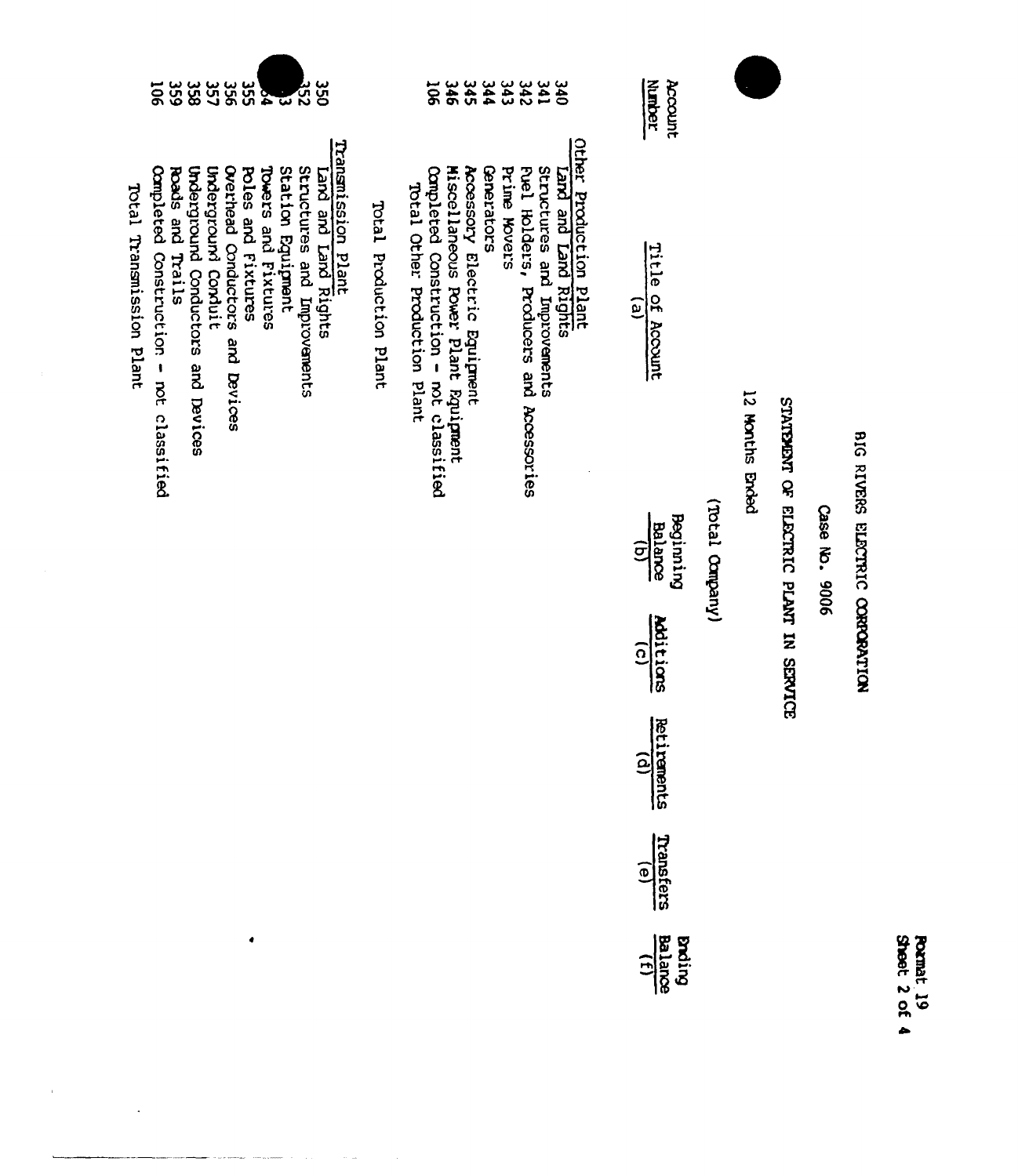| Sheet<br>ò | 뎙 |
|------------|---|
|            |   |
|            |   |

# BIG RIVERS ELECTRIC CORPORATION

# Case No. 9006

# STATEMENT OF ELECTRIC PLANT IN SERVICE

12 Months Ended

# (Vneqno Ledory)

| itle of Accoun                          |
|-----------------------------------------|
| seginnin<br>Balance<br>(b)              |
| <b>dditior</b>                          |
| etirement:<br>Cd)                       |
| Transferr<br>Transferr                  |
| $\frac{1}{\sqrt{2}}\sum_{n=1}^{\infty}$ |

Account<br>Number

|                              |                                         |                                     |                              |             |                     | 3223323<br>4434566                     |                             |                                                 |
|------------------------------|-----------------------------------------|-------------------------------------|------------------------------|-------------|---------------------|----------------------------------------|-----------------------------|-------------------------------------------------|
| Total Other Production Plant | Completed Construction - not classified | Miscellaneous Power Plant Rquipment | Accessory Electric Equipment | Greastators | <b>Prime Movers</b> | hel Holders, Producers and Accessories | Structures and Improvements | Other Production Plant<br>Trand and Land Rights |

Total Production Plant

|                          | $\overline{5}$                          | ပ်ပွဲ            | ပ္ကာ                               | 35<br>C             | ပ္တင                            | ပ္တ<br>ဟ           | ጅ                   |                   | <b>252</b>                  | ပ္ပ                                        |  |
|--------------------------|-----------------------------------------|------------------|------------------------------------|---------------------|---------------------------------|--------------------|---------------------|-------------------|-----------------------------|--------------------------------------------|--|
| Total Transmission Plant | Completed Construction - not classified | Roads and Trails | Underground Conductors and Devices | Underground Conduit | Overhead Conductors and Devices | Poles and Fixtures | Towers and Fixtures | Station Equipment | Structures and Improvements | Transmission Plant<br>Land and Land Rights |  |

 $\bullet$ 

 $\hat{r}$ 

 $\ddot{\phantom{a}}$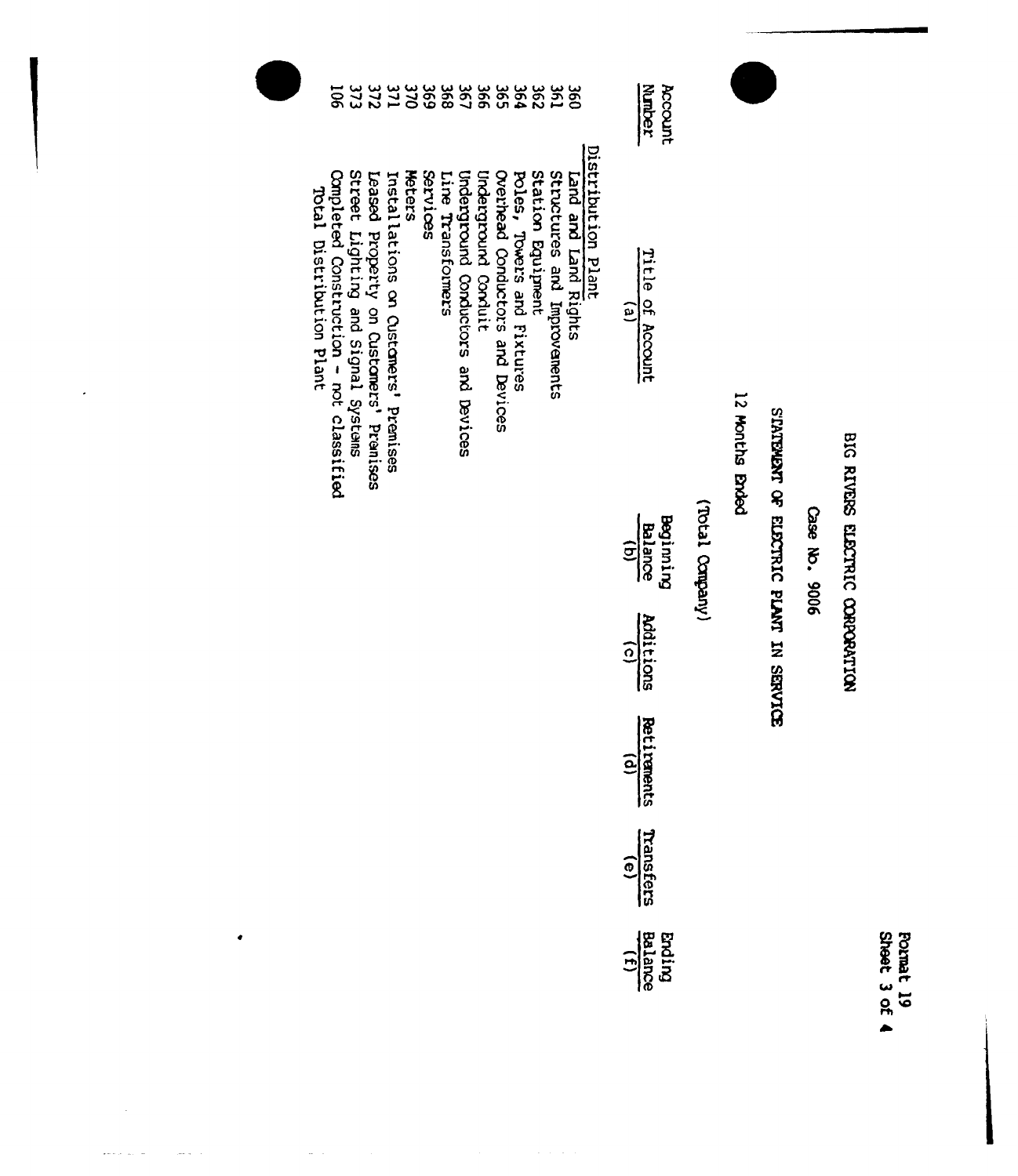| Forma<br>Sheet |  |
|----------------|--|
|                |  |
| ጹ              |  |
|                |  |
|                |  |

# BIG RIVERS ELECTRIC CORPORATION

Gase No. 9006

# STATEMENT OF ELECTRIC PLANT IN SERVICE

12 Months Brided

(Vieques ledor)

| $\frac{1}{\text{Bala}}$<br>Balance |
|------------------------------------|
| <b>Additions</b>                   |
| $rac{(0)}{(1)}$                    |
| Transfers                          |
| <b>Proting</b><br>Bathon           |

**Nurber** Account

Title of Account  $\overline{1}$ 

# Distribution Plant<br>Land and Land Rights Leased Property on Customers' Premises<br>Street Lighting and Signal Systems<br>Completed Construction - not classified<br>Total Distribution Plant Meters Services Underground Conductors and Devices **Underground Conduit** Overhead Conductors and Devices Station Equipment Structures and Improvements Line Transformers Poles, Towers and Fixtures Installations on Customers' Premises

 $\bullet$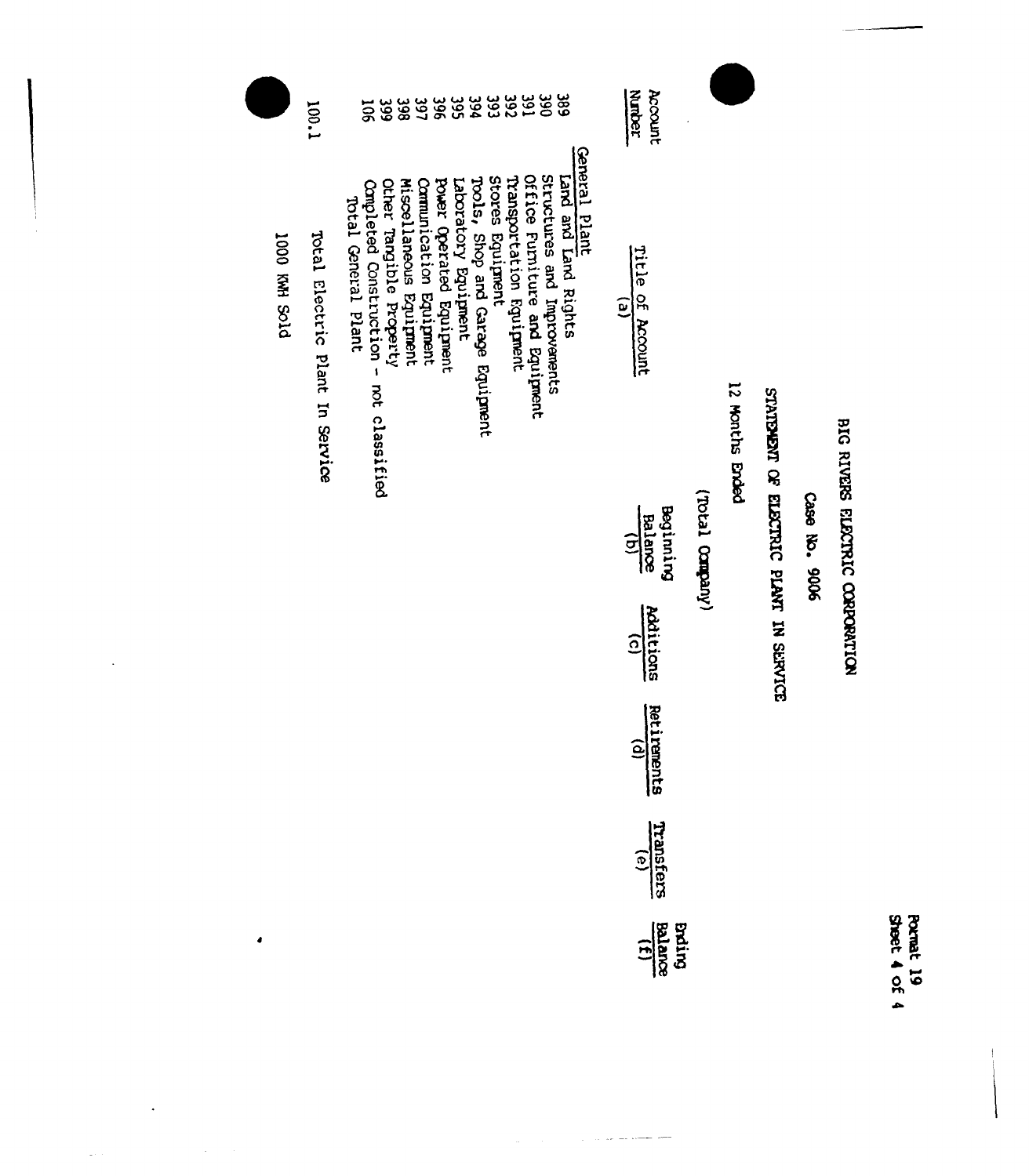|               | 1.001                           | 50 <sup>2</sup>                                                                                                                                                                                                                                                                                                                                                                                      | Account<br>Marber                                                                                                                                       |                  |                 |                                        |               |                                 |                           |
|---------------|---------------------------------|------------------------------------------------------------------------------------------------------------------------------------------------------------------------------------------------------------------------------------------------------------------------------------------------------------------------------------------------------------------------------------------------------|---------------------------------------------------------------------------------------------------------------------------------------------------------|------------------|-----------------|----------------------------------------|---------------|---------------------------------|---------------------------|
| DIOS HWY 000I | Total Electric Plant In Service | General Plant<br>Office Furniture and Equipment<br>structures and Improvements<br>Stores Equipment<br>Land and Land Rights<br>Transportation Equipment<br>Tools, Shop and Garage Equipment<br>Laboratory Equipment<br>Miscellaneous Equipment<br>Power Operated Equipment<br>other Tangible Property<br>Communication Equipment<br>Completed Construction -<br>Total General Plant<br>not classified | Title of Account<br>e)<br>Beginning<br><b>Balance</b><br>$\widehat{\Xi}$<br>Additions<br>$\widehat{\Omega}$<br><b>Retirements</b><br>$\mathbf{\hat{e}}$ | (Vnequoo Leaory) | 12 Months Ended | STATEMENT OF ELECTRIC PLANT IN SERVICE | Case No. 9006 | BIG RIVERS ELECTRIC CORPORATION |                           |
|               |                                 |                                                                                                                                                                                                                                                                                                                                                                                                      | Transfers<br><u>(ə)</u>                                                                                                                                 |                  |                 |                                        |               |                                 |                           |
| 4             |                                 |                                                                                                                                                                                                                                                                                                                                                                                                      | $\frac{11}{15}$<br>Balance                                                                                                                              |                  |                 |                                        |               |                                 | Sheet 4 of 4<br>Pormat 19 |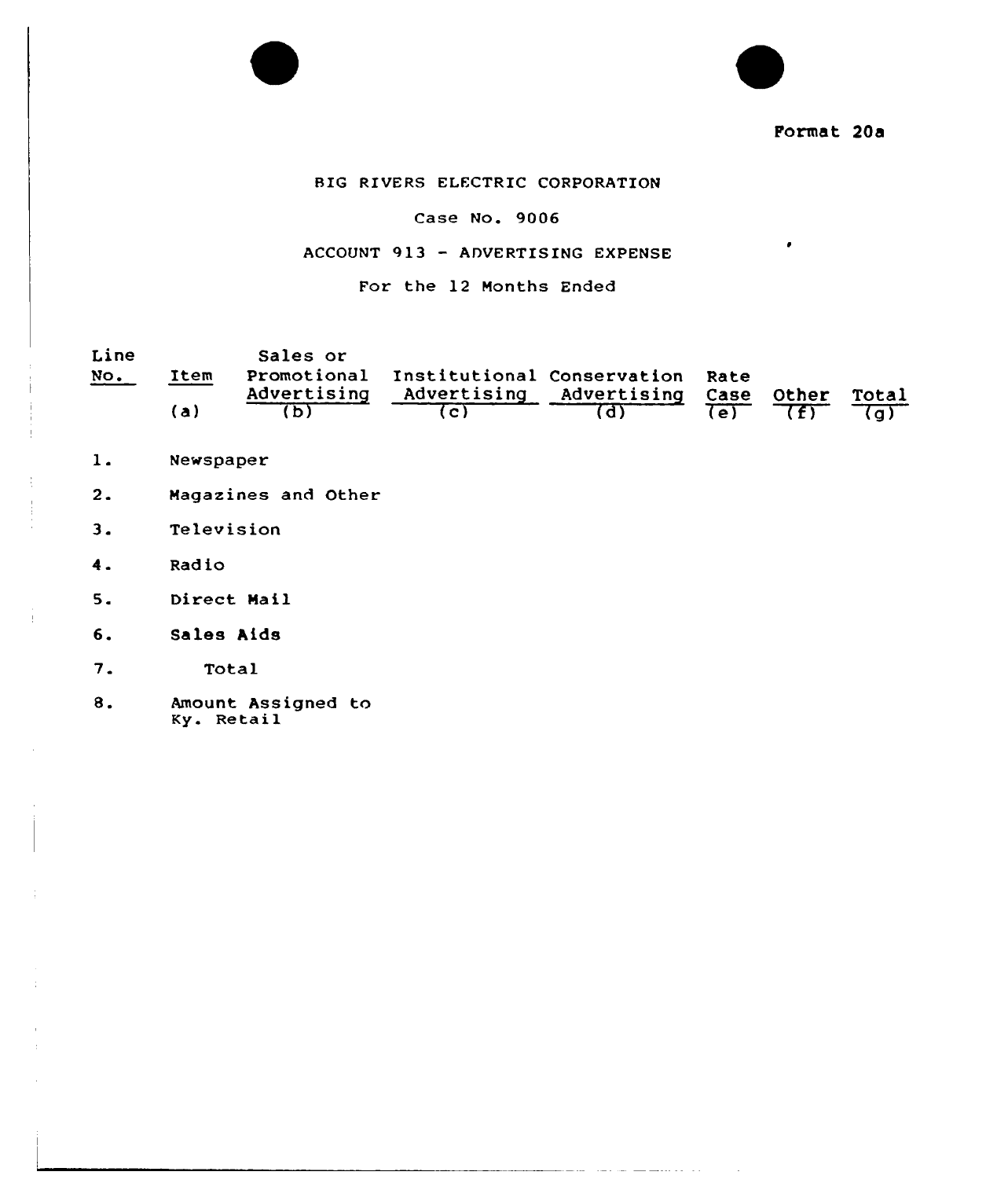Format 20a

 $\bullet$ 

# BIG RIVERS ELECTRIC CORPORATION

## Case No. 9006

## ACCOUNT 913 - ADVERTISING EXPENSE

# For the 12 Months Ended

| Line |      | Sales or    |                                             |  |       |
|------|------|-------------|---------------------------------------------|--|-------|
| NO.  | Item |             | Promotional Institutional Conservation Rate |  |       |
|      |      | Advertising | Advertising Advertising Case Other          |  | Total |
|      | (a)  |             |                                             |  |       |

المحارب والمتحفظ فللقارض والمتحدث المتحفظ والمتحدث

- $1.$ Newspaper
- Magazines and Other  $2.$
- $3.$ Television
- $4.$ Radio

Ť.

- $5.$ Direct Mail
- $6.$ Sales Aids
- $7.$ Total
- $8.$ Amount Assigned to Ky. Retail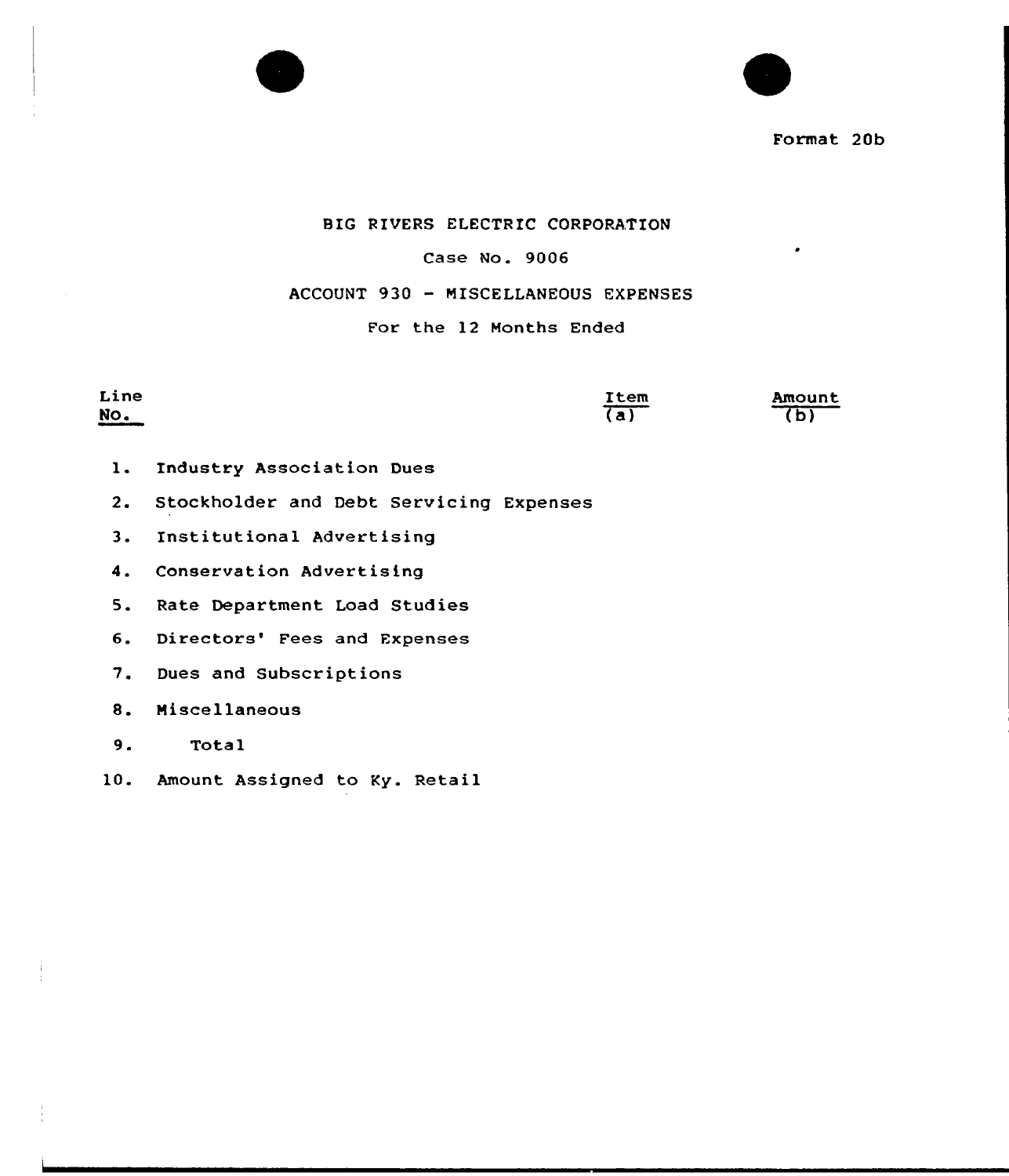

Format 20b

## BIG RIVERS ELECTRIC CORPORATION

## Case No. 9006

# ACCOUNT 930 — MISCELLANEOUS EXPENSES

# For the 12 Months Ended

Line No. <u>Item</u>  $(a)$ Amount  $\overline{(\mathfrak{b})}$ 

- l. Industry Association Dues
- 2. Stockholder and Debt Servicing Expenses
- 3. Institutional Advertising
- 4. Conservation Advertising
- 5. Rate Department Load Studies
- 6. Directors' Fees and Expenses
- 7. Dues and Subscriptions
- 8. Miscellaneous
- 9. Total
- 10. Amount Assigned to Ky. Retail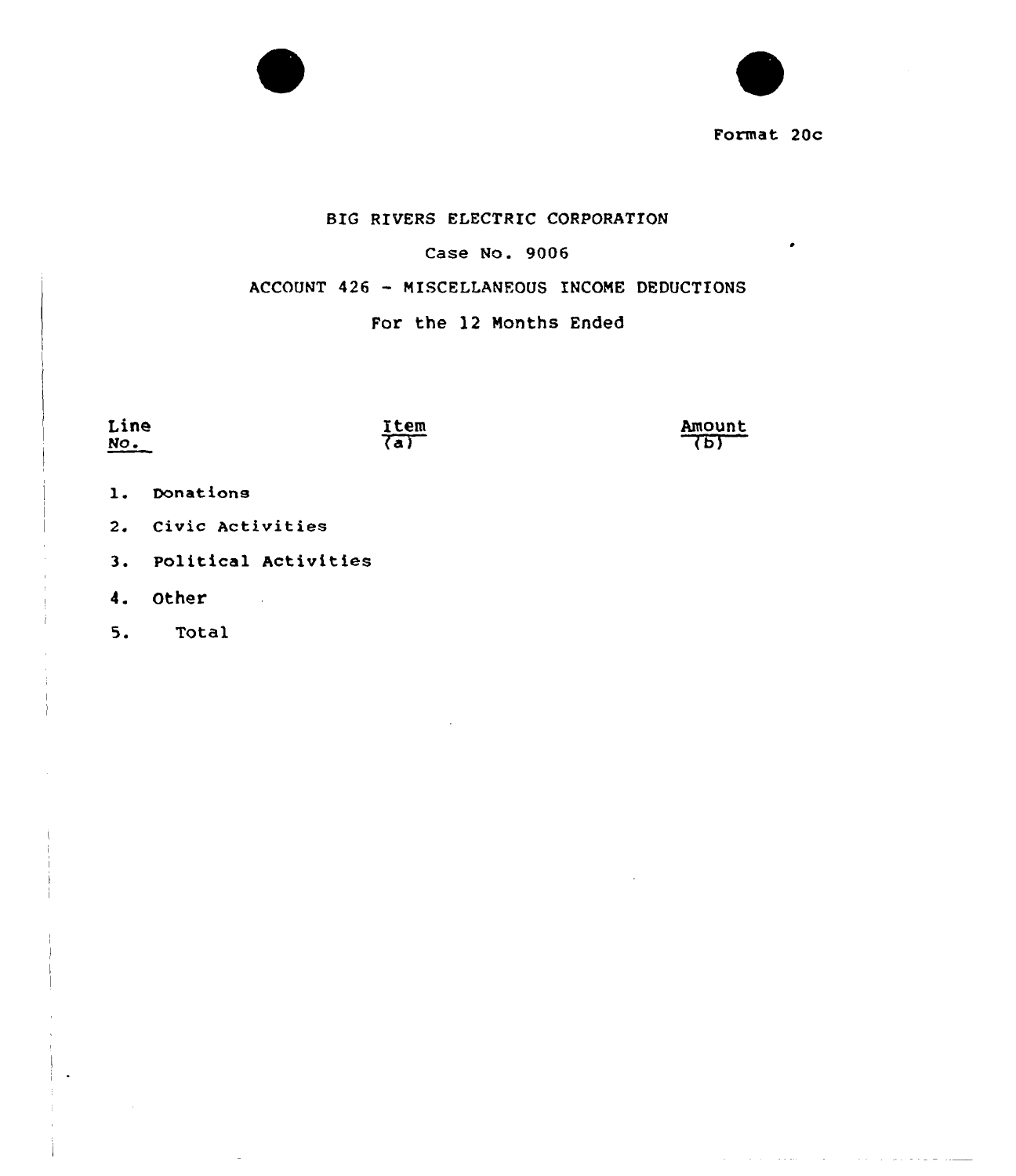



Format 20c

سموسا ساساتها وساويا والمرورة والمرادي والمتحدث والمتوارد والمرادي

# BIG RIVERS ELECTRIC CORPORATION

# Case No. 9006

# ACCOUNT <sup>426</sup> - MISCELLANEOUS INCOME DEDUCTIONS

# For the 12 Months Ended

- 1. Donations
- 2. Civic Activities
- 3. Political Activities
- 4. Other

5. Total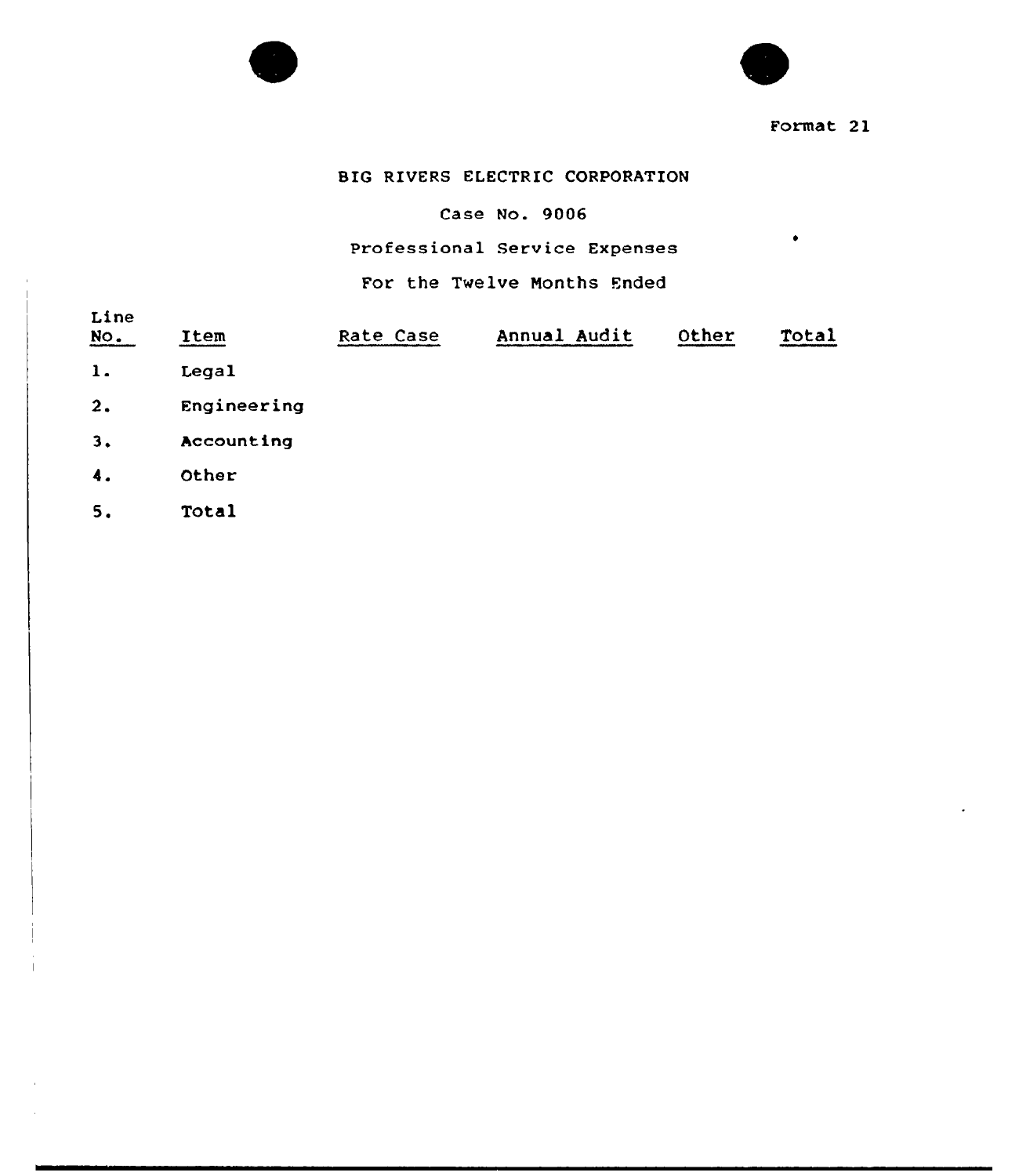



Format 2l

 $\bullet$ 

# BIG RIVERS ELECTRIC CORPORATION

# Case No. 9006

# Professional Service Expenses

# For the Twelve Nonths Ended

| Line<br>$NO$ . | Item        | Rate Case | Annual Audit | Other | Total |
|----------------|-------------|-----------|--------------|-------|-------|
| $\mathbf{1}$ . | Legal       |           |              |       |       |
| 2.             | Engineering |           |              |       |       |
| 3.             | Accounting  |           |              |       |       |
| 4.             | Other       |           |              |       |       |
| 5.             | Total       |           |              |       |       |
|                |             |           |              |       |       |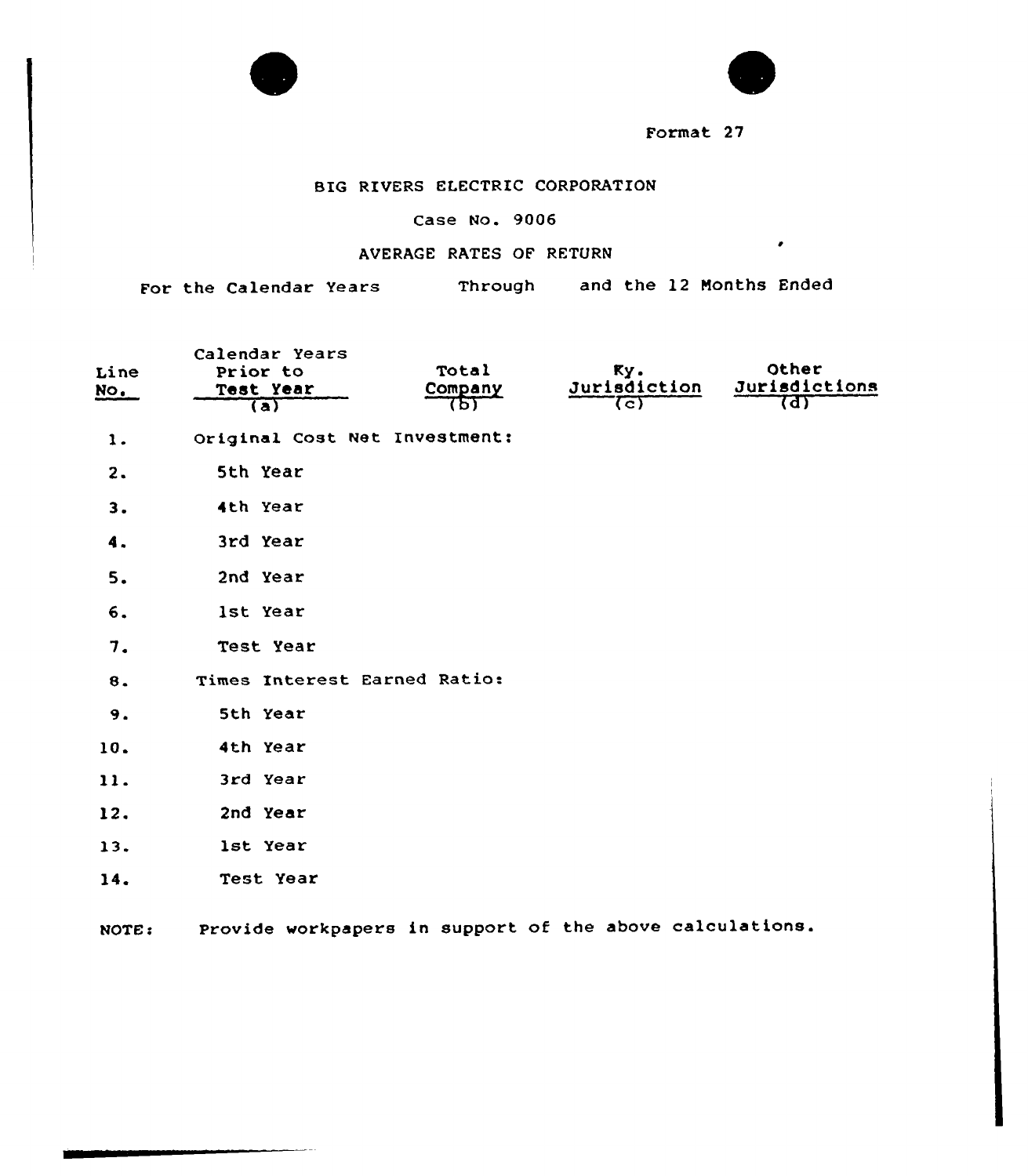

**College** 



 $\bullet$ 

Format 27

# BIG RIVERS ELECTRIC CORPORATION

# Case No. 9006

# AVERAGE RATES OF RETURN

For the Calendar Years Through and the 12 Months Ended

| Line<br><u>No.</u> | Calendar Years<br>Prior to<br>Test Year<br>$\overline{a}$ | Total<br>Company<br>75) | Ky.<br>Jurisdiction<br>(ट) | Other<br>Jurisdictions<br>त्ता |
|--------------------|-----------------------------------------------------------|-------------------------|----------------------------|--------------------------------|
| $\mathbf{1}$ .     | Original Cost Net Investment:                             |                         |                            |                                |
| 2.                 | 5th Year                                                  |                         |                            |                                |
| 3.                 | 4th Year                                                  |                         |                            |                                |
| 4.                 | 3rd Year                                                  |                         |                            |                                |
| 5.                 | 2nd Year                                                  |                         |                            |                                |
| 6.                 | lst Year                                                  |                         |                            |                                |
| 7.                 | Test Year                                                 |                         |                            |                                |
| 8.                 | Times Interest Earned Ratio:                              |                         |                            |                                |
| 9.                 | 5th Year                                                  |                         |                            |                                |
| 10.                | 4th Year                                                  |                         |                            |                                |
| 11.                | 3rd Year                                                  |                         |                            |                                |
| 12.                | 2nd Year                                                  |                         |                            |                                |
| 13.                | 1st Year                                                  |                         |                            |                                |
| 14.                | Test Year                                                 |                         |                            |                                |
| NOTE:              | Provide workpapers in support of the above calculations.  |                         |                            |                                |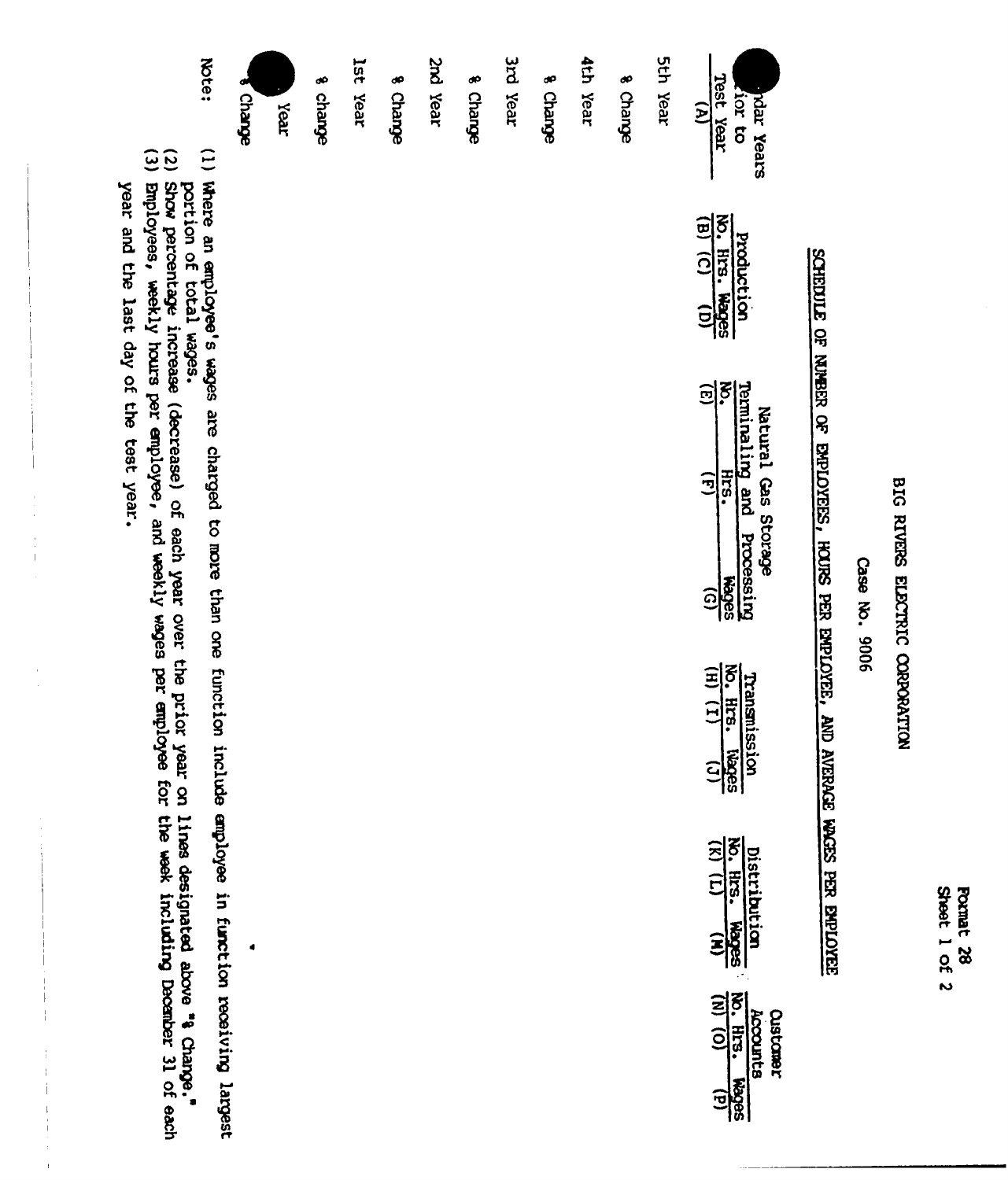Sheet 1 of 2 Format 28

# BIG RIVERS ELECTRIC CORPORATION

Case No. 9006

# SCHEDULE OF NUBER OF EMPLOYEES, HOUSE PER EMPLOYEE, AND AVERAGE HACES PER EMPLOYEE

| lst Year | s Charge | 2nd Year | % Change | 3rd Year | s Charge | 4th Year | s Change | <b>Sth Year</b> | Test Year<br>hdar Years<br>Fior to                                                                                                |
|----------|----------|----------|----------|----------|----------|----------|----------|-----------------|-----------------------------------------------------------------------------------------------------------------------------------|
|          |          |          |          |          |          |          |          |                 | No. Hrs. Wages<br><b>Production</b>                                                                                               |
|          |          |          |          |          |          |          |          |                 | $\frac{1}{2}$<br>Terminaling and Processing<br>Natural Gas Storage<br>$\frac{HES}{(F)}$<br><b>Hages</b><br>$\widehat{\mathbf{e}}$ |
|          |          |          |          |          |          |          |          |                 | $\frac{W_0}{(H)}$ , Hrs. Nages<br>Transmission                                                                                    |
|          |          |          |          |          |          |          |          |                 | $\frac{\text{bistribution}}{\text{No. Hres. Wages}}$                                                                              |
|          |          |          |          |          |          |          |          |                 | $\frac{\text{hcounts}}{\text{(N)}\cdot\text{(O)}}$<br>$\frac{\text{hres. Hres. Wages}}{\text{(N)}\cdot\text{(O)}}$<br>Oustomer    |

Near

8 change

Mote: adueup

(1) Where an employee's wages are charged to more than one function include employee in function receiving largest

 $\bullet$ 

- 
- (2) Show percentage increase (decrease) of each year over the prior year on lines designated above "4 Change."<br>(3) Buployees, weekly hours per employee, and weekly wages per employee for the week including December 31 of e
- 

year and the last day of the test year.

 $\begin{array}{c} \frac{1}{2} \\ \frac{1}{2} \\ \frac{1}{2} \end{array}$ 

 $\bar{\bar{t}}$